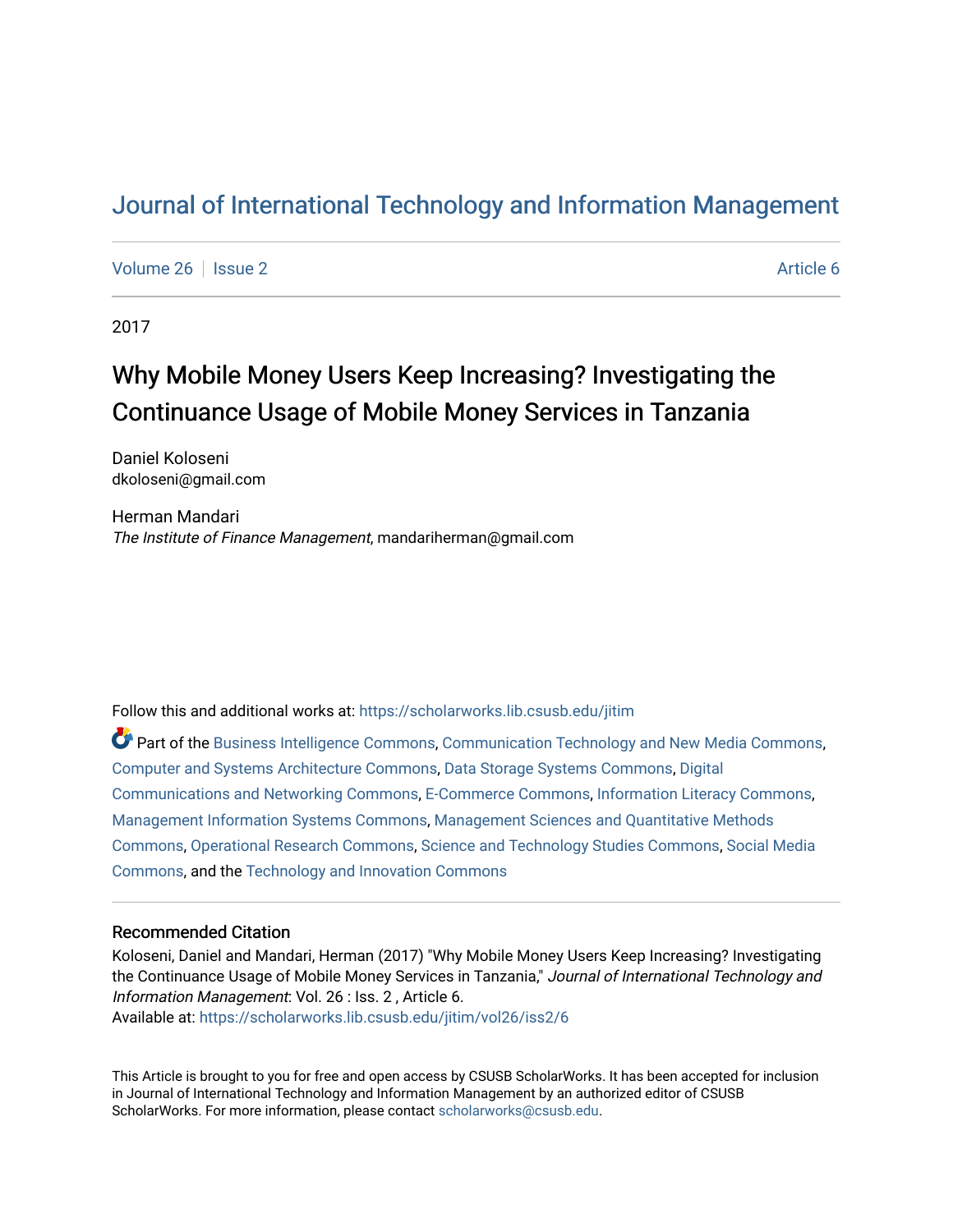## [Journal of International Technology and Information Management](https://scholarworks.lib.csusb.edu/jitim)

[Volume 26](https://scholarworks.lib.csusb.edu/jitim/vol26) | [Issue 2](https://scholarworks.lib.csusb.edu/jitim/vol26/iss2) Article 6

2017

# Why Mobile Money Users Keep Increasing? Investigating the Continuance Usage of Mobile Money Services in Tanzania

Daniel Koloseni dkoloseni@gmail.com

Herman Mandari The Institute of Finance Management, mandariherman@gmail.com

Follow this and additional works at: [https://scholarworks.lib.csusb.edu/jitim](https://scholarworks.lib.csusb.edu/jitim?utm_source=scholarworks.lib.csusb.edu%2Fjitim%2Fvol26%2Fiss2%2F6&utm_medium=PDF&utm_campaign=PDFCoverPages) 

Part of the [Business Intelligence Commons,](http://network.bepress.com/hgg/discipline/1326?utm_source=scholarworks.lib.csusb.edu%2Fjitim%2Fvol26%2Fiss2%2F6&utm_medium=PDF&utm_campaign=PDFCoverPages) [Communication Technology and New Media Commons,](http://network.bepress.com/hgg/discipline/327?utm_source=scholarworks.lib.csusb.edu%2Fjitim%2Fvol26%2Fiss2%2F6&utm_medium=PDF&utm_campaign=PDFCoverPages) [Computer and Systems Architecture Commons](http://network.bepress.com/hgg/discipline/259?utm_source=scholarworks.lib.csusb.edu%2Fjitim%2Fvol26%2Fiss2%2F6&utm_medium=PDF&utm_campaign=PDFCoverPages), [Data Storage Systems Commons](http://network.bepress.com/hgg/discipline/261?utm_source=scholarworks.lib.csusb.edu%2Fjitim%2Fvol26%2Fiss2%2F6&utm_medium=PDF&utm_campaign=PDFCoverPages), [Digital](http://network.bepress.com/hgg/discipline/262?utm_source=scholarworks.lib.csusb.edu%2Fjitim%2Fvol26%2Fiss2%2F6&utm_medium=PDF&utm_campaign=PDFCoverPages) [Communications and Networking Commons](http://network.bepress.com/hgg/discipline/262?utm_source=scholarworks.lib.csusb.edu%2Fjitim%2Fvol26%2Fiss2%2F6&utm_medium=PDF&utm_campaign=PDFCoverPages), [E-Commerce Commons](http://network.bepress.com/hgg/discipline/624?utm_source=scholarworks.lib.csusb.edu%2Fjitim%2Fvol26%2Fiss2%2F6&utm_medium=PDF&utm_campaign=PDFCoverPages), [Information Literacy Commons,](http://network.bepress.com/hgg/discipline/1243?utm_source=scholarworks.lib.csusb.edu%2Fjitim%2Fvol26%2Fiss2%2F6&utm_medium=PDF&utm_campaign=PDFCoverPages) [Management Information Systems Commons,](http://network.bepress.com/hgg/discipline/636?utm_source=scholarworks.lib.csusb.edu%2Fjitim%2Fvol26%2Fiss2%2F6&utm_medium=PDF&utm_campaign=PDFCoverPages) [Management Sciences and Quantitative Methods](http://network.bepress.com/hgg/discipline/637?utm_source=scholarworks.lib.csusb.edu%2Fjitim%2Fvol26%2Fiss2%2F6&utm_medium=PDF&utm_campaign=PDFCoverPages) [Commons](http://network.bepress.com/hgg/discipline/637?utm_source=scholarworks.lib.csusb.edu%2Fjitim%2Fvol26%2Fiss2%2F6&utm_medium=PDF&utm_campaign=PDFCoverPages), [Operational Research Commons](http://network.bepress.com/hgg/discipline/308?utm_source=scholarworks.lib.csusb.edu%2Fjitim%2Fvol26%2Fiss2%2F6&utm_medium=PDF&utm_campaign=PDFCoverPages), [Science and Technology Studies Commons,](http://network.bepress.com/hgg/discipline/435?utm_source=scholarworks.lib.csusb.edu%2Fjitim%2Fvol26%2Fiss2%2F6&utm_medium=PDF&utm_campaign=PDFCoverPages) [Social Media](http://network.bepress.com/hgg/discipline/1249?utm_source=scholarworks.lib.csusb.edu%2Fjitim%2Fvol26%2Fiss2%2F6&utm_medium=PDF&utm_campaign=PDFCoverPages) [Commons](http://network.bepress.com/hgg/discipline/1249?utm_source=scholarworks.lib.csusb.edu%2Fjitim%2Fvol26%2Fiss2%2F6&utm_medium=PDF&utm_campaign=PDFCoverPages), and the [Technology and Innovation Commons](http://network.bepress.com/hgg/discipline/644?utm_source=scholarworks.lib.csusb.edu%2Fjitim%2Fvol26%2Fiss2%2F6&utm_medium=PDF&utm_campaign=PDFCoverPages) 

#### Recommended Citation

Koloseni, Daniel and Mandari, Herman (2017) "Why Mobile Money Users Keep Increasing? Investigating the Continuance Usage of Mobile Money Services in Tanzania," Journal of International Technology and Information Management: Vol. 26 : Iss. 2 , Article 6. Available at: [https://scholarworks.lib.csusb.edu/jitim/vol26/iss2/6](https://scholarworks.lib.csusb.edu/jitim/vol26/iss2/6?utm_source=scholarworks.lib.csusb.edu%2Fjitim%2Fvol26%2Fiss2%2F6&utm_medium=PDF&utm_campaign=PDFCoverPages) 

This Article is brought to you for free and open access by CSUSB ScholarWorks. It has been accepted for inclusion in Journal of International Technology and Information Management by an authorized editor of CSUSB ScholarWorks. For more information, please contact [scholarworks@csusb.edu.](mailto:scholarworks@csusb.edu)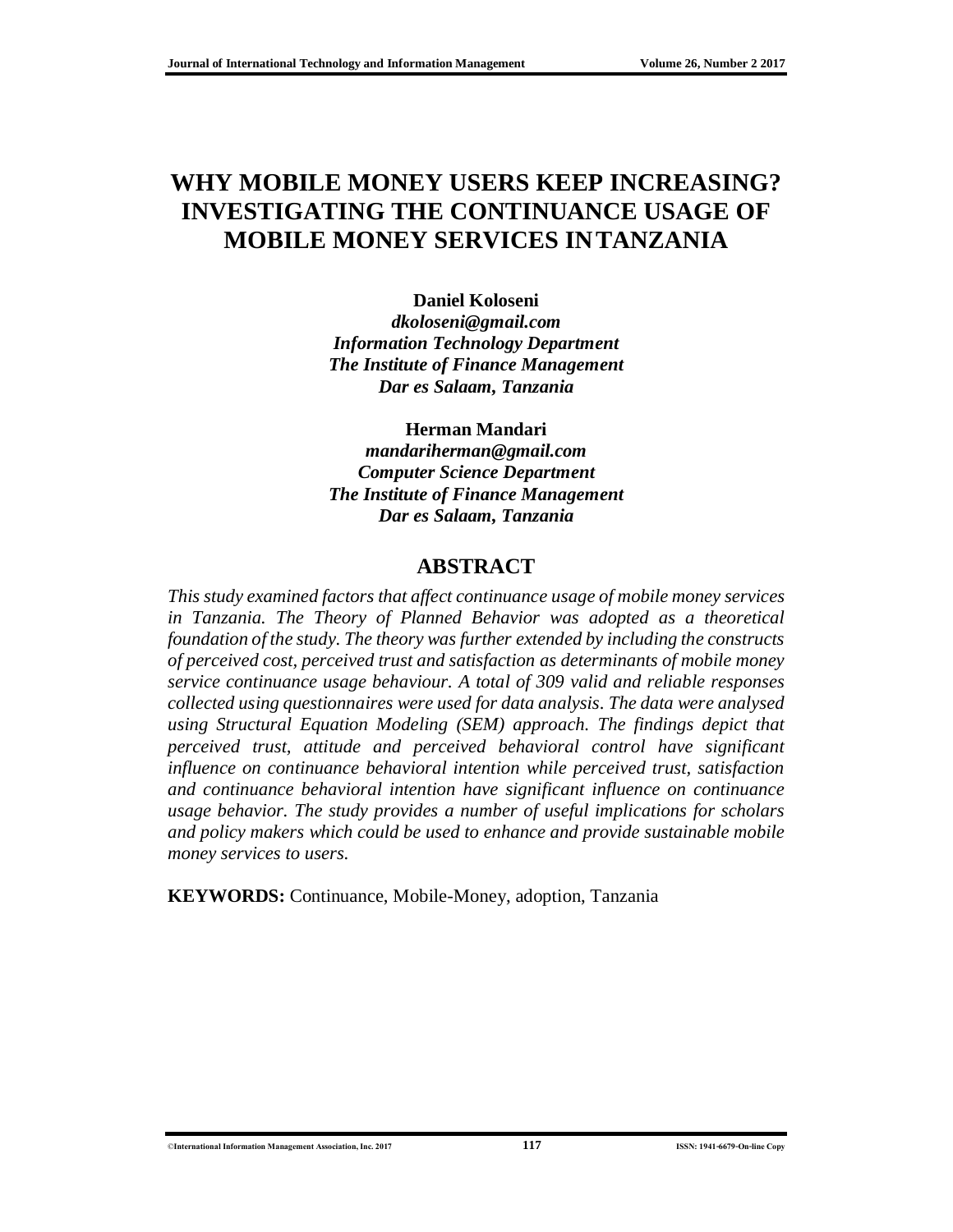## **WHY MOBILE MONEY USERS KEEP INCREASING? INVESTIGATING THE CONTINUANCE USAGE OF MOBILE MONEY SERVICES INTANZANIA**

**Daniel Koloseni** *[dkoloseni@gmail.com](mailto:dkoloseni@gmail.com) Information Technology Department The Institute of Finance Management Dar es Salaam, Tanzania* 

**Herman Mandari**

*[mandariherman@gmail.com](mailto:mandariherman@gmail.com) Computer Science Department The Institute of Finance Management Dar es Salaam, Tanzania* 

#### **ABSTRACT**

*This study examined factors that affect continuance usage of mobile money services in Tanzania. The Theory of Planned Behavior was adopted as a theoretical foundation of the study. The theory was further extended by including the constructs of perceived cost, perceived trust and satisfaction as determinants of mobile money service continuance usage behaviour. A total of 309 valid and reliable responses collected using questionnaires were used for data analysis. The data were analysed using Structural Equation Modeling (SEM) approach. The findings depict that perceived trust, attitude and perceived behavioral control have significant influence on continuance behavioral intention while perceived trust, satisfaction and continuance behavioral intention have significant influence on continuance usage behavior. The study provides a number of useful implications for scholars and policy makers which could be used to enhance and provide sustainable mobile money services to users.* 

**KEYWORDS:** Continuance, Mobile-Money, adoption, Tanzania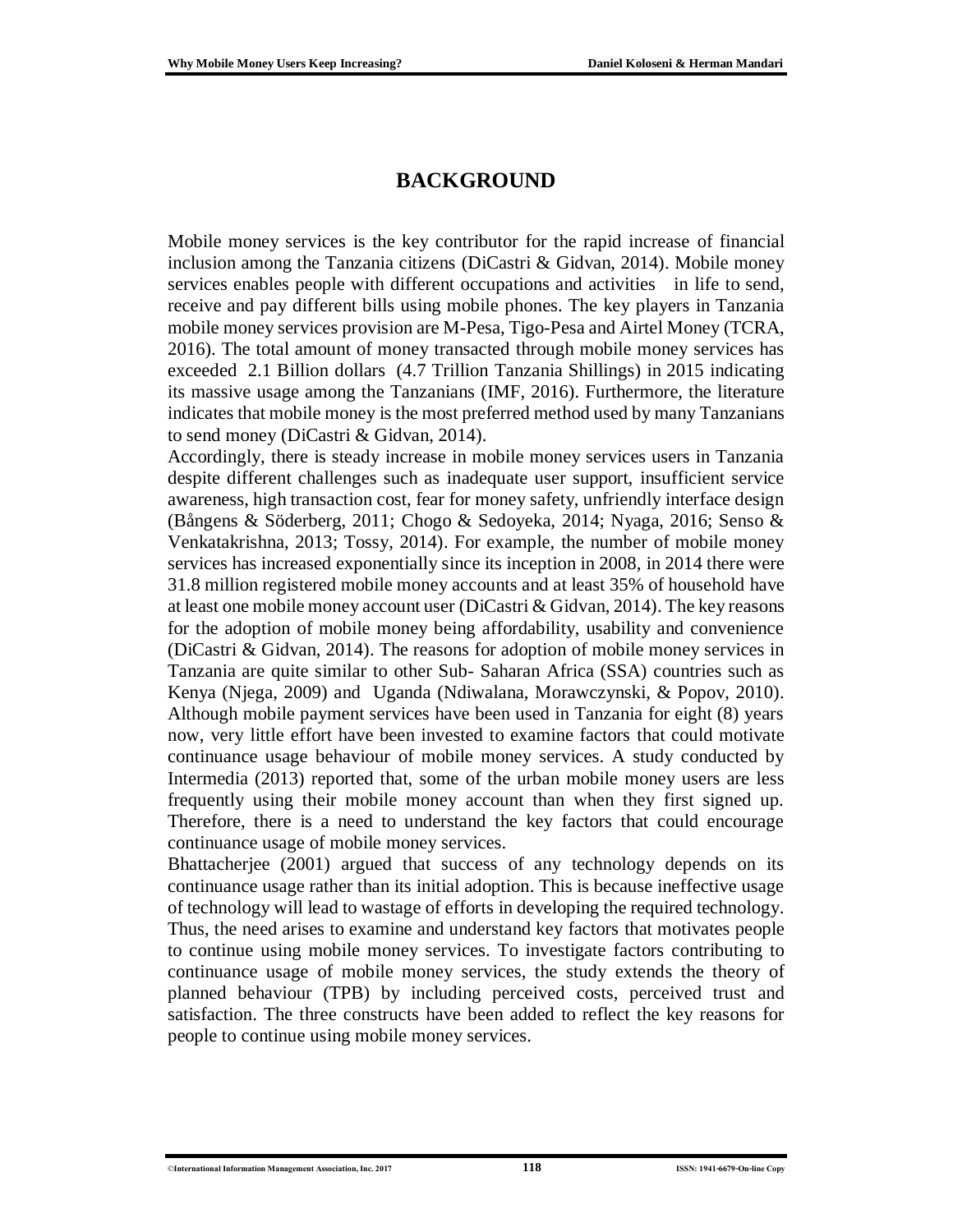### **BACKGROUND**

Mobile money services is the key contributor for the rapid increase of financial inclusion among the Tanzania citizens (DiCastri & Gidvan, 2014). Mobile money services enables people with different occupations and activities in life to send, receive and pay different bills using mobile phones. The key players in Tanzania mobile money services provision are M-Pesa, Tigo-Pesa and Airtel Money (TCRA, 2016). The total amount of money transacted through mobile money services has exceeded 2.1 Billion dollars (4.7 Trillion Tanzania Shillings) in 2015 indicating its massive usage among the Tanzanians (IMF, 2016). Furthermore, the literature indicates that mobile money is the most preferred method used by many Tanzanians to send money (DiCastri & Gidvan, 2014).

Accordingly, there is steady increase in mobile money services users in Tanzania despite different challenges such as inadequate user support, insufficient service awareness, high transaction cost, fear for money safety, unfriendly interface design (Bångens & Söderberg, 2011; Chogo & Sedoyeka, 2014; Nyaga, 2016; Senso & Venkatakrishna, 2013; Tossy, 2014). For example, the number of mobile money services has increased exponentially since its inception in 2008, in 2014 there were 31.8 million registered mobile money accounts and at least 35% of household have at least one mobile money account user (DiCastri & Gidvan, 2014). The key reasons for the adoption of mobile money being affordability, usability and convenience (DiCastri & Gidvan, 2014). The reasons for adoption of mobile money services in Tanzania are quite similar to other Sub- Saharan Africa (SSA) countries such as Kenya (Njega, 2009) and Uganda (Ndiwalana, Morawczynski, & Popov, 2010). Although mobile payment services have been used in Tanzania for eight (8) years now, very little effort have been invested to examine factors that could motivate continuance usage behaviour of mobile money services. A study conducted by Intermedia (2013) reported that, some of the urban mobile money users are less frequently using their mobile money account than when they first signed up. Therefore, there is a need to understand the key factors that could encourage continuance usage of mobile money services.

Bhattacherjee (2001) argued that success of any technology depends on its continuance usage rather than its initial adoption. This is because ineffective usage of technology will lead to wastage of efforts in developing the required technology. Thus, the need arises to examine and understand key factors that motivates people to continue using mobile money services. To investigate factors contributing to continuance usage of mobile money services, the study extends the theory of planned behaviour (TPB) by including perceived costs, perceived trust and satisfaction. The three constructs have been added to reflect the key reasons for people to continue using mobile money services.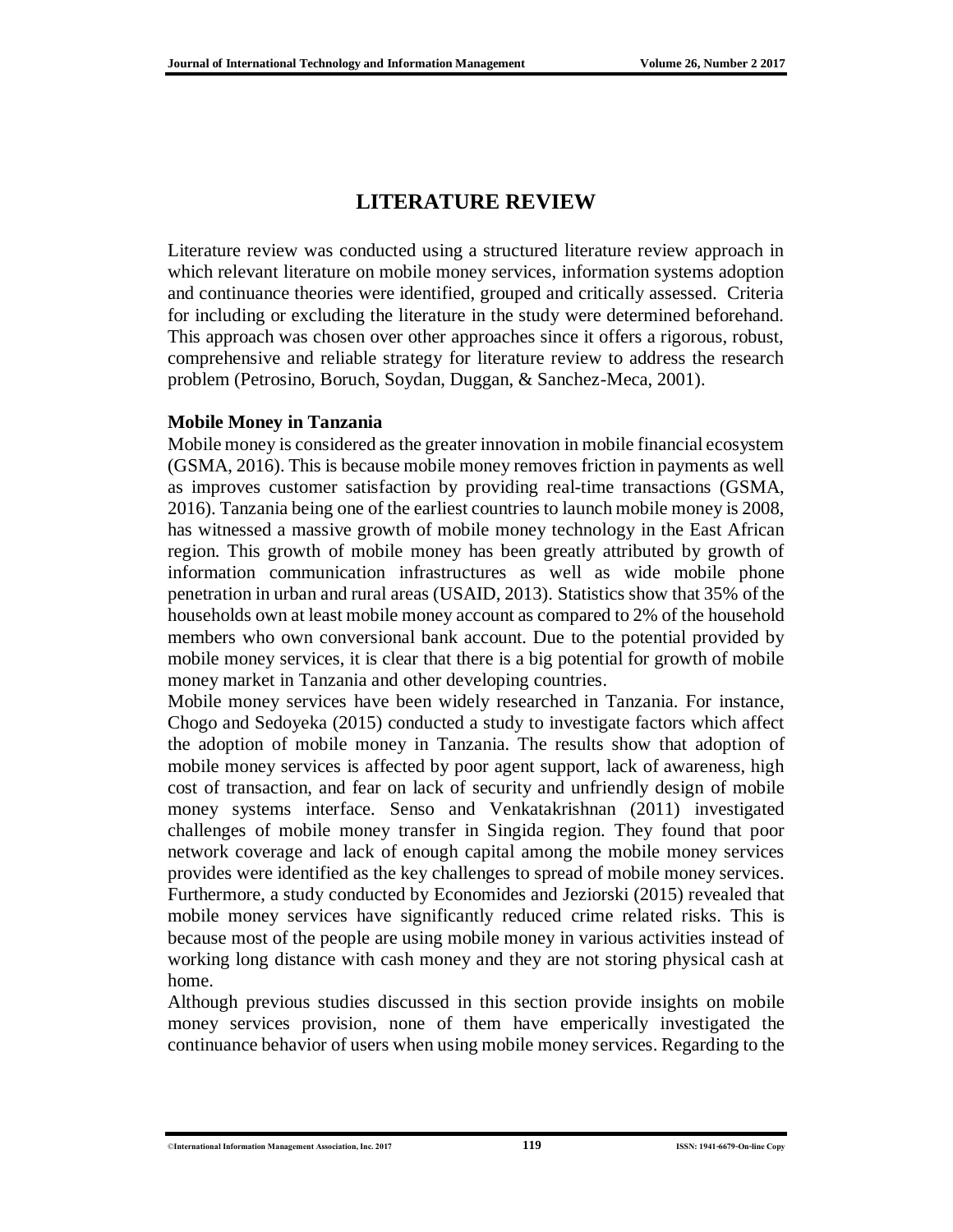### **LITERATURE REVIEW**

Literature review was conducted using a structured literature review approach in which relevant literature on mobile money services, information systems adoption and continuance theories were identified, grouped and critically assessed. Criteria for including or excluding the literature in the study were determined beforehand. This approach was chosen over other approaches since it offers a rigorous, robust, comprehensive and reliable strategy for literature review to address the research problem (Petrosino, Boruch, Soydan, Duggan, & Sanchez-Meca, 2001).

#### **Mobile Money in Tanzania**

Mobile money is considered as the greater innovation in mobile financial ecosystem (GSMA, 2016). This is because mobile money removes friction in payments as well as improves customer satisfaction by providing real-time transactions (GSMA, 2016). Tanzania being one of the earliest countries to launch mobile money is 2008, has witnessed a massive growth of mobile money technology in the East African region. This growth of mobile money has been greatly attributed by growth of information communication infrastructures as well as wide mobile phone penetration in urban and rural areas (USAID, 2013). Statistics show that 35% of the households own at least mobile money account as compared to 2% of the household members who own conversional bank account. Due to the potential provided by mobile money services, it is clear that there is a big potential for growth of mobile money market in Tanzania and other developing countries.

Mobile money services have been widely researched in Tanzania. For instance, Chogo and Sedoyeka (2015) conducted a study to investigate factors which affect the adoption of mobile money in Tanzania. The results show that adoption of mobile money services is affected by poor agent support, lack of awareness, high cost of transaction, and fear on lack of security and unfriendly design of mobile money systems interface. Senso and Venkatakrishnan (2011) investigated challenges of mobile money transfer in Singida region. They found that poor network coverage and lack of enough capital among the mobile money services provides were identified as the key challenges to spread of mobile money services. Furthermore, a study conducted by Economides and Jeziorski (2015) revealed that mobile money services have significantly reduced crime related risks. This is because most of the people are using mobile money in various activities instead of working long distance with cash money and they are not storing physical cash at home.

Although previous studies discussed in this section provide insights on mobile money services provision, none of them have emperically investigated the continuance behavior of users when using mobile money services. Regarding to the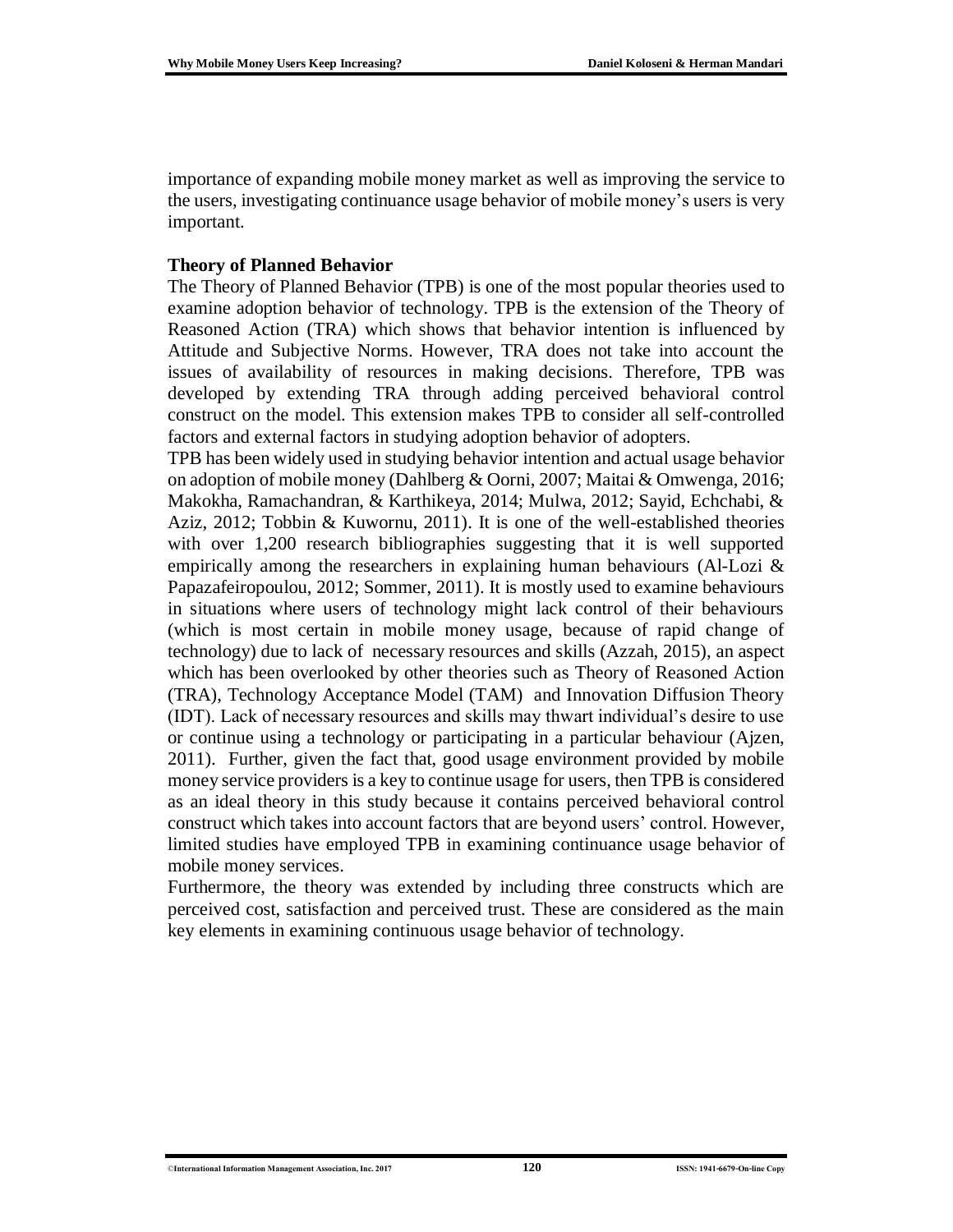importance of expanding mobile money market as well as improving the service to the users, investigating continuance usage behavior of mobile money's users is very important.

#### **Theory of Planned Behavior**

The Theory of Planned Behavior (TPB) is one of the most popular theories used to examine adoption behavior of technology. TPB is the extension of the Theory of Reasoned Action (TRA) which shows that behavior intention is influenced by Attitude and Subjective Norms. However, TRA does not take into account the issues of availability of resources in making decisions. Therefore, TPB was developed by extending TRA through adding perceived behavioral control construct on the model. This extension makes TPB to consider all self-controlled factors and external factors in studying adoption behavior of adopters.

TPB has been widely used in studying behavior intention and actual usage behavior on adoption of mobile money (Dahlberg & Oorni, 2007; Maitai & Omwenga, 2016; Makokha, Ramachandran, & Karthikeya, 2014; Mulwa, 2012; Sayid, Echchabi, & Aziz, 2012; Tobbin & Kuwornu, 2011). It is one of the well-established theories with over 1,200 research bibliographies suggesting that it is well supported empirically among the researchers in explaining human behaviours (Al-Lozi & Papazafeiropoulou, 2012; Sommer, 2011). It is mostly used to examine behaviours in situations where users of technology might lack control of their behaviours (which is most certain in mobile money usage, because of rapid change of technology) due to lack of necessary resources and skills (Azzah, 2015), an aspect which has been overlooked by other theories such as Theory of Reasoned Action (TRA), Technology Acceptance Model (TAM) and Innovation Diffusion Theory (IDT). Lack of necessary resources and skills may thwart individual's desire to use or continue using a technology or participating in a particular behaviour (Ajzen, 2011). Further, given the fact that, good usage environment provided by mobile money service providers is a key to continue usage for users, then TPB is considered as an ideal theory in this study because it contains perceived behavioral control construct which takes into account factors that are beyond users' control. However, limited studies have employed TPB in examining continuance usage behavior of mobile money services.

Furthermore, the theory was extended by including three constructs which are perceived cost, satisfaction and perceived trust. These are considered as the main key elements in examining continuous usage behavior of technology.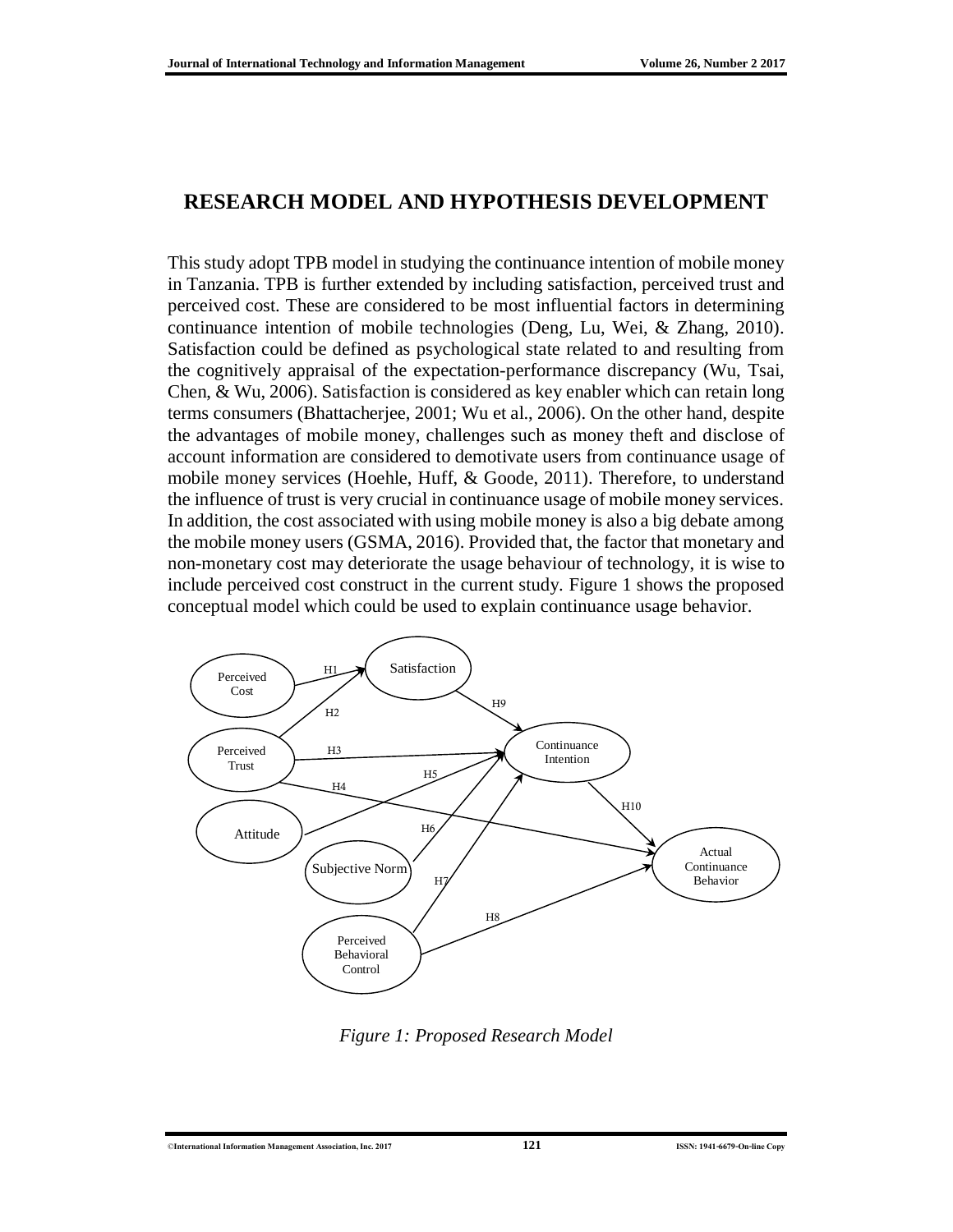### **RESEARCH MODEL AND HYPOTHESIS DEVELOPMENT**

This study adopt TPB model in studying the continuance intention of mobile money in Tanzania. TPB is further extended by including satisfaction, perceived trust and perceived cost. These are considered to be most influential factors in determining continuance intention of mobile technologies (Deng, Lu, Wei, & Zhang, 2010). Satisfaction could be defined as psychological state related to and resulting from the cognitively appraisal of the expectation-performance discrepancy (Wu, Tsai, Chen, & Wu, 2006). Satisfaction is considered as key enabler which can retain long terms consumers (Bhattacherjee, 2001; Wu et al., 2006). On the other hand, despite the advantages of mobile money, challenges such as money theft and disclose of account information are considered to demotivate users from continuance usage of mobile money services (Hoehle, Huff, & Goode, 2011). Therefore, to understand the influence of trust is very crucial in continuance usage of mobile money services. In addition, the cost associated with using mobile money is also a big debate among the mobile money users (GSMA, 2016). Provided that, the factor that monetary and non-monetary cost may deteriorate the usage behaviour of technology, it is wise to include perceived cost construct in the current study. Figure 1 shows the proposed conceptual model which could be used to explain continuance usage behavior.



*Figure 1: Proposed Research Model*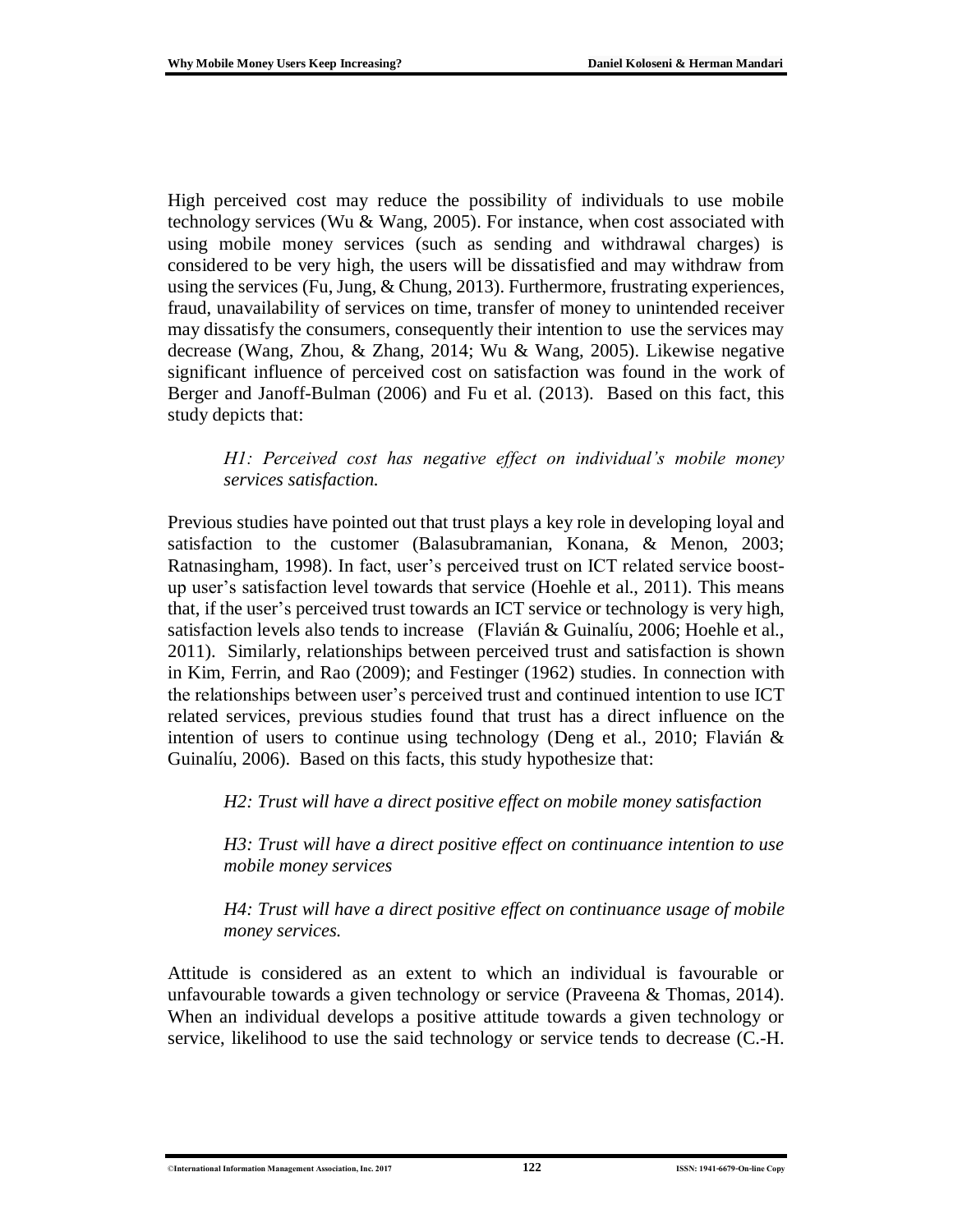High perceived cost may reduce the possibility of individuals to use mobile technology services (Wu & Wang, 2005). For instance, when cost associated with using mobile money services (such as sending and withdrawal charges) is considered to be very high, the users will be dissatisfied and may withdraw from using the services (Fu, Jung, & Chung, 2013). Furthermore, frustrating experiences, fraud, unavailability of services on time, transfer of money to unintended receiver may dissatisfy the consumers, consequently their intention to use the services may decrease (Wang, Zhou, & Zhang, 2014; Wu & Wang, 2005). Likewise negative significant influence of perceived cost on satisfaction was found in the work of Berger and Janoff-Bulman (2006) and Fu et al. (2013). Based on this fact, this study depicts that:

*H1: Perceived cost has negative effect on individual's mobile money services satisfaction.* 

Previous studies have pointed out that trust plays a key role in developing loyal and satisfaction to the customer (Balasubramanian, Konana, & Menon, 2003; Ratnasingham, 1998). In fact, user's perceived trust on ICT related service boostup user's satisfaction level towards that service (Hoehle et al., 2011). This means that, if the user's perceived trust towards an ICT service or technology is very high, satisfaction levels also tends to increase (Flavián & Guinalíu, 2006; Hoehle et al., 2011). Similarly, relationships between perceived trust and satisfaction is shown in Kim, Ferrin, and Rao (2009); and Festinger (1962) studies. In connection with the relationships between user's perceived trust and continued intention to use ICT related services, previous studies found that trust has a direct influence on the intention of users to continue using technology (Deng et al., 2010; Flavián & Guinalíu, 2006). Based on this facts, this study hypothesize that:

*H2: Trust will have a direct positive effect on mobile money satisfaction*

*H3: Trust will have a direct positive effect on continuance intention to use mobile money services*

*H4: Trust will have a direct positive effect on continuance usage of mobile money services.*

Attitude is considered as an extent to which an individual is favourable or unfavourable towards a given technology or service (Praveena & Thomas, 2014). When an individual develops a positive attitude towards a given technology or service, likelihood to use the said technology or service tends to decrease (C.-H.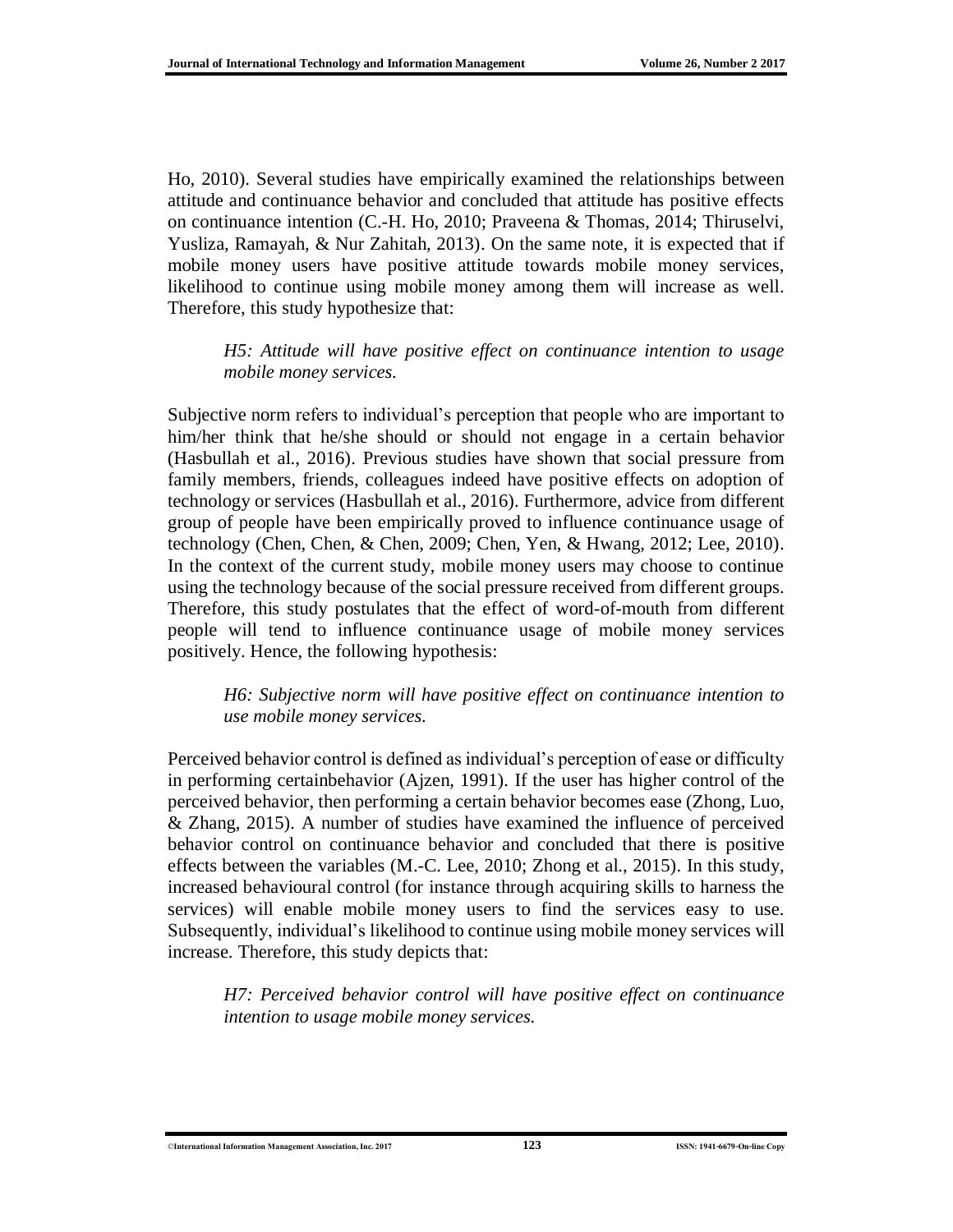Ho, 2010). Several studies have empirically examined the relationships between attitude and continuance behavior and concluded that attitude has positive effects on continuance intention (C.-H. Ho, 2010; Praveena & Thomas, 2014; Thiruselvi, Yusliza, Ramayah, & Nur Zahitah, 2013). On the same note, it is expected that if mobile money users have positive attitude towards mobile money services, likelihood to continue using mobile money among them will increase as well. Therefore, this study hypothesize that:

#### *H5: Attitude will have positive effect on continuance intention to usage mobile money services.*

Subjective norm refers to individual's perception that people who are important to him/her think that he/she should or should not engage in a certain behavior (Hasbullah et al., 2016). Previous studies have shown that social pressure from family members, friends, colleagues indeed have positive effects on adoption of technology or services (Hasbullah et al., 2016). Furthermore, advice from different group of people have been empirically proved to influence continuance usage of technology (Chen, Chen, & Chen, 2009; Chen, Yen, & Hwang, 2012; Lee, 2010). In the context of the current study, mobile money users may choose to continue using the technology because of the social pressure received from different groups. Therefore, this study postulates that the effect of word-of-mouth from different people will tend to influence continuance usage of mobile money services positively. Hence, the following hypothesis:

#### *H6: Subjective norm will have positive effect on continuance intention to use mobile money services.*

Perceived behavior control is defined as individual's perception of ease or difficulty in performing certainbehavior (Ajzen, 1991). If the user has higher control of the perceived behavior, then performing a certain behavior becomes ease (Zhong, Luo, & Zhang, 2015). A number of studies have examined the influence of perceived behavior control on continuance behavior and concluded that there is positive effects between the variables (M.-C. Lee, 2010; Zhong et al., 2015). In this study, increased behavioural control (for instance through acquiring skills to harness the services) will enable mobile money users to find the services easy to use. Subsequently, individual's likelihood to continue using mobile money services will increase. Therefore, this study depicts that:

*H7: Perceived behavior control will have positive effect on continuance intention to usage mobile money services.*

©**International Information Management Association, Inc. 2017 123 ISSN: 1941-6679-On-line Copy**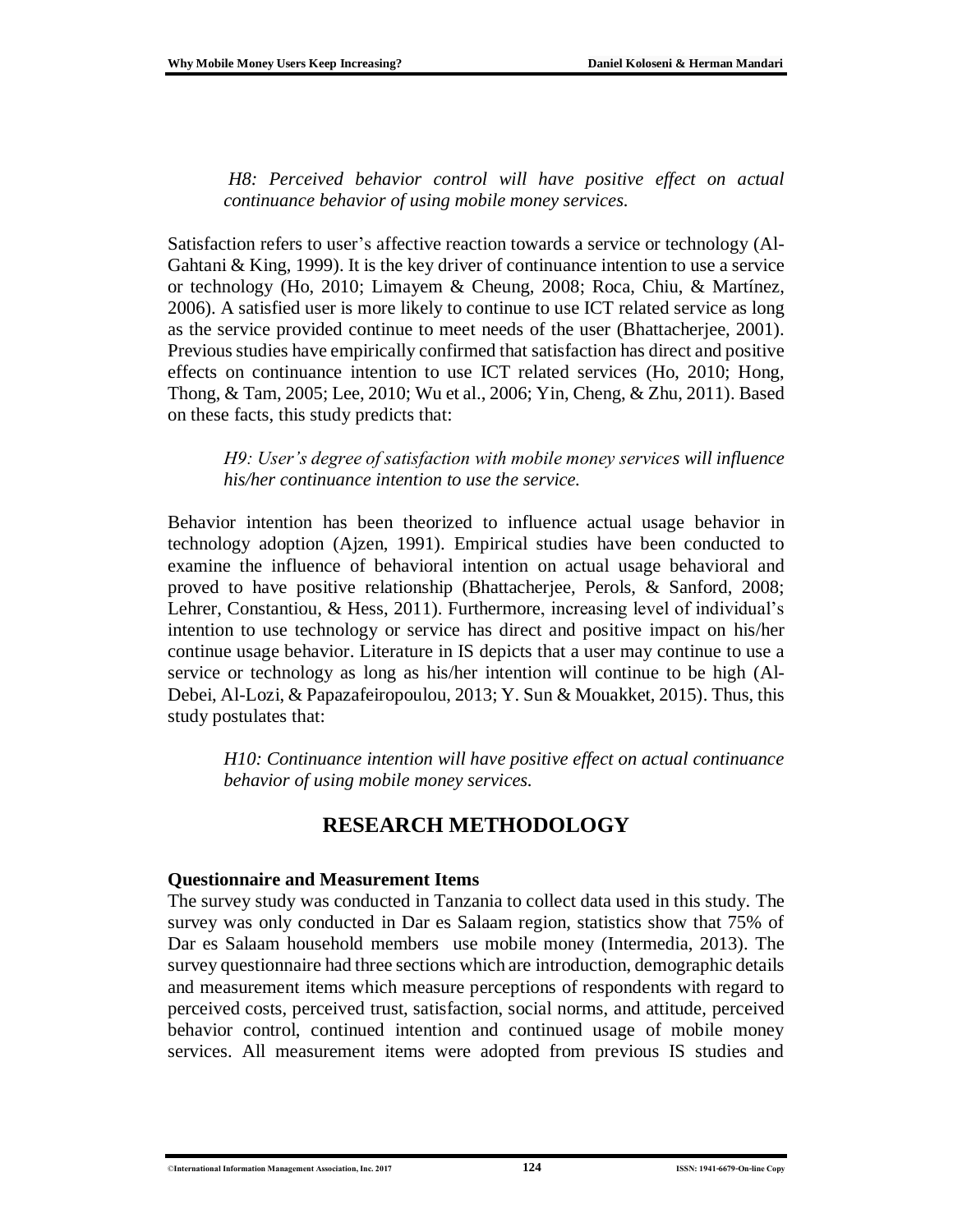*H8: Perceived behavior control will have positive effect on actual continuance behavior of using mobile money services.*

Satisfaction refers to user's affective reaction towards a service or technology (Al-Gahtani & King, 1999). It is the key driver of continuance intention to use a service or technology (Ho, 2010; Limayem & Cheung, 2008; Roca, Chiu, & Martínez, 2006). A satisfied user is more likely to continue to use ICT related service as long as the service provided continue to meet needs of the user (Bhattacherjee, 2001). Previous studies have empirically confirmed that satisfaction has direct and positive effects on continuance intention to use ICT related services (Ho, 2010; Hong, Thong, & Tam, 2005; Lee, 2010; Wu et al., 2006; Yin, Cheng, & Zhu, 2011). Based on these facts, this study predicts that:

*H9: User's degree of satisfaction with mobile money services will influence his/her continuance intention to use the service.*

Behavior intention has been theorized to influence actual usage behavior in technology adoption (Ajzen, 1991). Empirical studies have been conducted to examine the influence of behavioral intention on actual usage behavioral and proved to have positive relationship (Bhattacherjee, Perols, & Sanford, 2008; Lehrer, Constantiou, & Hess, 2011). Furthermore, increasing level of individual's intention to use technology or service has direct and positive impact on his/her continue usage behavior. Literature in IS depicts that a user may continue to use a service or technology as long as his/her intention will continue to be high (Al-Debei, Al-Lozi, & Papazafeiropoulou, 2013; Y. Sun & Mouakket, 2015). Thus, this study postulates that:

*H10: Continuance intention will have positive effect on actual continuance behavior of using mobile money services.*

### **RESEARCH METHODOLOGY**

#### **Questionnaire and Measurement Items**

The survey study was conducted in Tanzania to collect data used in this study. The survey was only conducted in Dar es Salaam region, statistics show that 75% of Dar es Salaam household members use mobile money (Intermedia, 2013). The survey questionnaire had three sections which are introduction, demographic details and measurement items which measure perceptions of respondents with regard to perceived costs, perceived trust, satisfaction, social norms, and attitude, perceived behavior control, continued intention and continued usage of mobile money services. All measurement items were adopted from previous IS studies and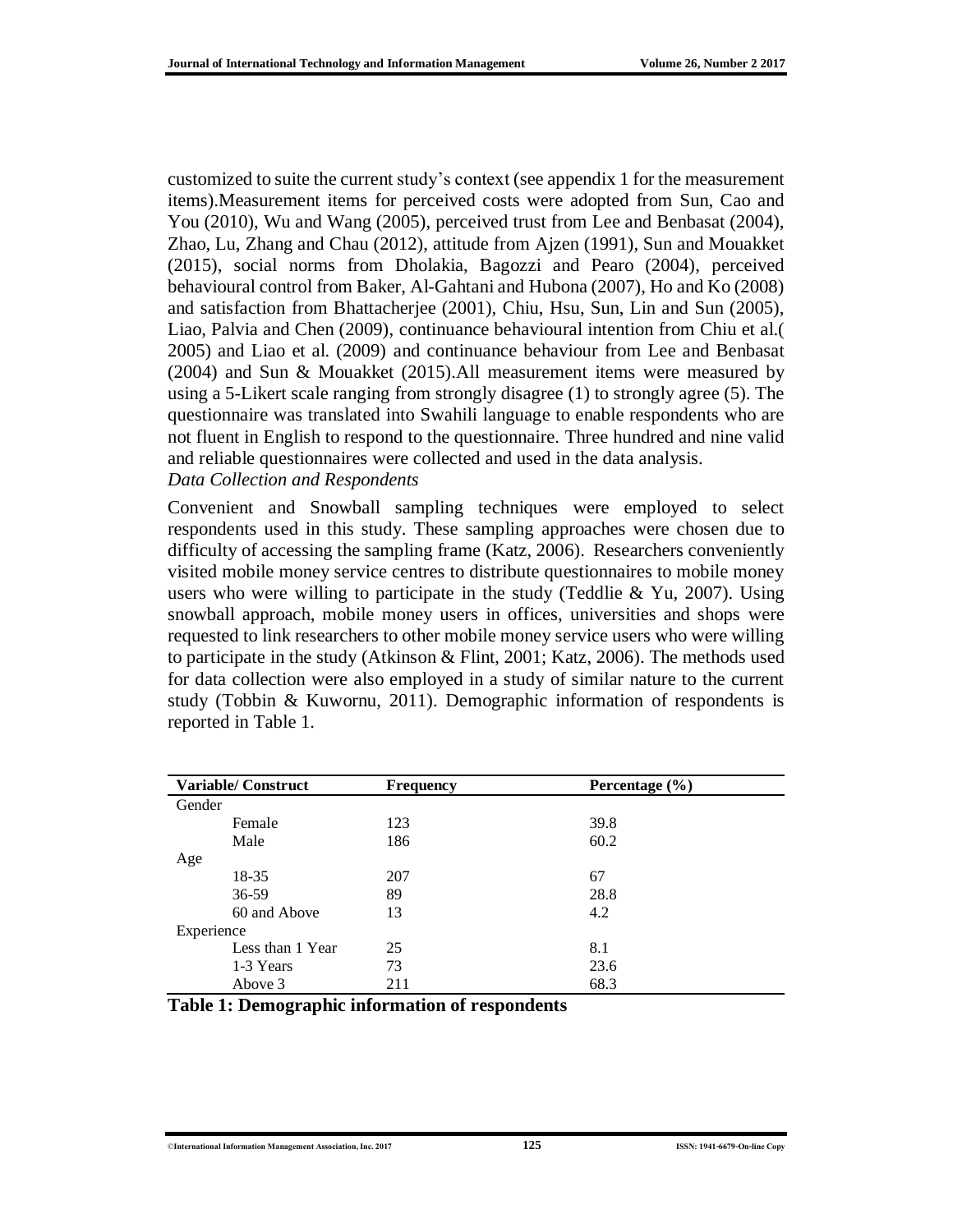customized to suite the current study's context (see appendix 1 for the measurement items).Measurement items for perceived costs were adopted from Sun, Cao and You (2010), Wu and Wang (2005), perceived trust from Lee and Benbasat (2004), Zhao, Lu, Zhang and Chau (2012), attitude from Ajzen (1991), Sun and Mouakket (2015), social norms from Dholakia, Bagozzi and Pearo (2004), perceived behavioural control from Baker, Al-Gahtani and Hubona (2007), Ho and Ko (2008) and satisfaction from Bhattacherjee (2001), Chiu, Hsu, Sun, Lin and Sun (2005), Liao, Palvia and Chen (2009), continuance behavioural intention from Chiu et al.( 2005) and Liao et al. (2009) and continuance behaviour from Lee and Benbasat (2004) and Sun & Mouakket (2015).All measurement items were measured by using a 5-Likert scale ranging from strongly disagree (1) to strongly agree (5). The questionnaire was translated into Swahili language to enable respondents who are not fluent in English to respond to the questionnaire. Three hundred and nine valid and reliable questionnaires were collected and used in the data analysis. *Data Collection and Respondents*

Convenient and Snowball sampling techniques were employed to select respondents used in this study. These sampling approaches were chosen due to difficulty of accessing the sampling frame (Katz, 2006). Researchers conveniently visited mobile money service centres to distribute questionnaires to mobile money users who were willing to participate in the study (Teddlie  $& Yu, 2007$ ). Using snowball approach, mobile money users in offices, universities and shops were requested to link researchers to other mobile money service users who were willing to participate in the study (Atkinson & Flint, 2001; Katz, 2006). The methods used for data collection were also employed in a study of similar nature to the current study (Tobbin & Kuwornu, 2011). Demographic information of respondents is reported in Table 1.

|            | <b>Variable/Construct</b> | <b>Frequency</b> | Percentage $(\% )$ |  |
|------------|---------------------------|------------------|--------------------|--|
| Gender     |                           |                  |                    |  |
|            | Female                    | 123              | 39.8               |  |
|            | Male                      | 186              | 60.2               |  |
| Age        |                           |                  |                    |  |
|            | 18-35                     | 207              | 67                 |  |
|            | $36 - 59$                 | 89               | 28.8               |  |
|            | 60 and Above              | 13               | 4.2                |  |
| Experience |                           |                  |                    |  |
|            | Less than 1 Year          | 25               | 8.1                |  |
|            | 1-3 Years                 | 73               | 23.6               |  |
|            | Above 3                   | 211              | 68.3               |  |

|  | Table 1: Demographic information of respondents |  |  |
|--|-------------------------------------------------|--|--|
|  |                                                 |  |  |

#### ©**International Information Management Association, Inc. 2017 125 ISSN: 1941-6679-On-line Copy**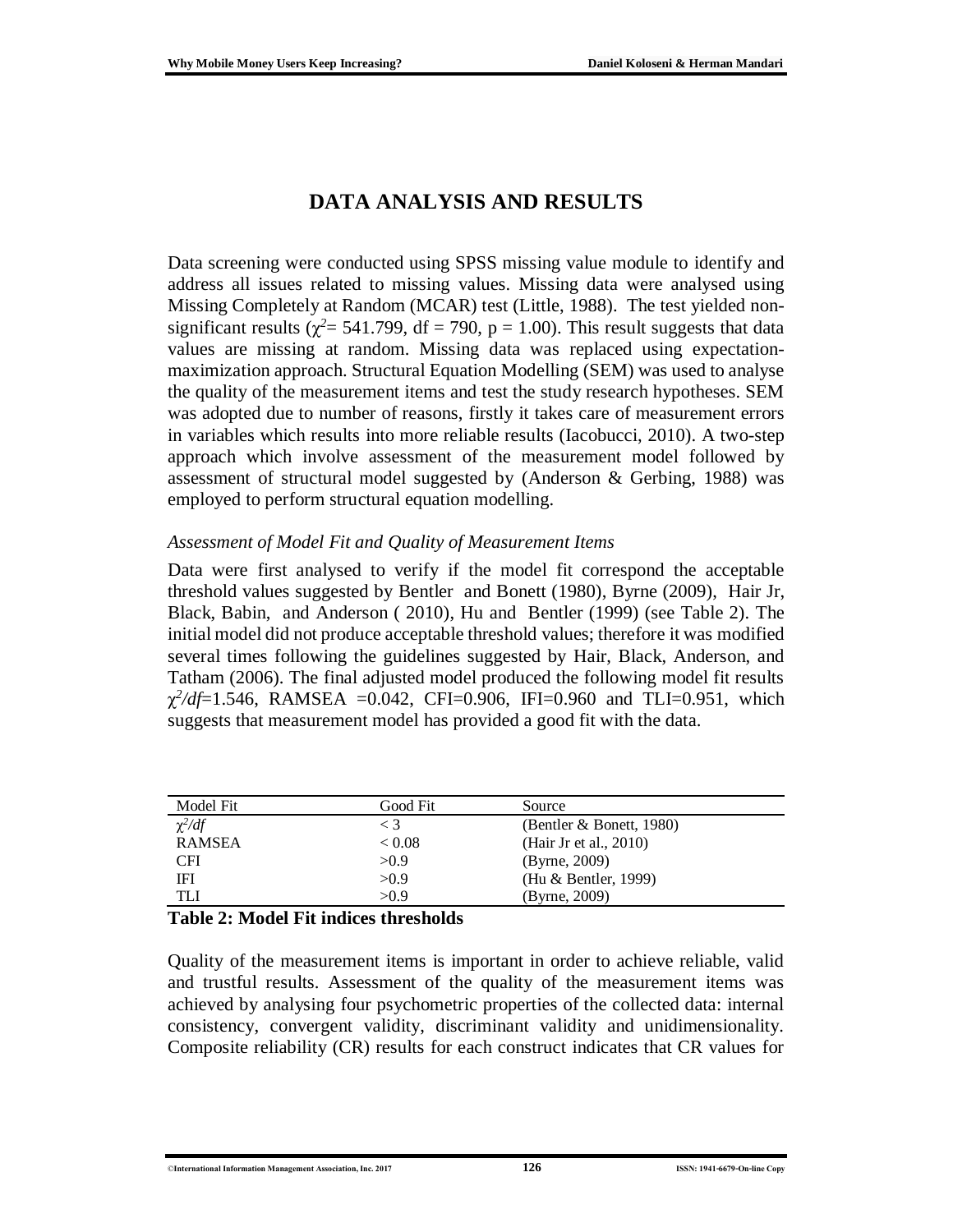### **DATA ANALYSIS AND RESULTS**

Data screening were conducted using SPSS missing value module to identify and address all issues related to missing values. Missing data were analysed using Missing Completely at Random (MCAR) test (Little, 1988). The test yielded nonsignificant results ( $\chi^2$  = 541.799, df = 790, p = 1.00). This result suggests that data values are missing at random. Missing data was replaced using expectationmaximization approach. Structural Equation Modelling (SEM) was used to analyse the quality of the measurement items and test the study research hypotheses. SEM was adopted due to number of reasons, firstly it takes care of measurement errors in variables which results into more reliable results (Iacobucci, 2010). A two-step approach which involve assessment of the measurement model followed by assessment of structural model suggested by (Anderson & Gerbing, 1988) was employed to perform structural equation modelling.

#### *Assessment of Model Fit and Quality of Measurement Items*

Data were first analysed to verify if the model fit correspond the acceptable threshold values suggested by Bentler and Bonett (1980), Byrne (2009), Hair Jr, Black, Babin, and Anderson ( 2010), Hu and Bentler (1999) (see Table 2). The initial model did not produce acceptable threshold values; therefore it was modified several times following the guidelines suggested by Hair, Black, Anderson, and Tatham (2006). The final adjusted model produced the following model fit results  $\chi^2/df = 1.546$ , RAMSEA = 0.042, CFI = 0.906, IFI = 0.960 and TLI = 0.951, which suggests that measurement model has provided a good fit with the data.

| Model Fit     | Good Fit | Source                      |  |
|---------------|----------|-----------------------------|--|
| $\chi^2/df$   | $\leq 3$ | (Bentler $\&$ Bonett, 1980) |  |
| <b>RAMSEA</b> | < 0.08   | (Hair Jr et al., 2010)      |  |
| CFI           | >0.9     | (Byrne, 2009)               |  |
| IFI           | >0.9     | (Hu & Bentler, 1999)        |  |
| TI J          | >0.9     | (Byrne, 2009)               |  |

#### **Table 2: Model Fit indices thresholds**

Quality of the measurement items is important in order to achieve reliable, valid and trustful results. Assessment of the quality of the measurement items was achieved by analysing four psychometric properties of the collected data: internal consistency, convergent validity, discriminant validity and unidimensionality. Composite reliability (CR) results for each construct indicates that CR values for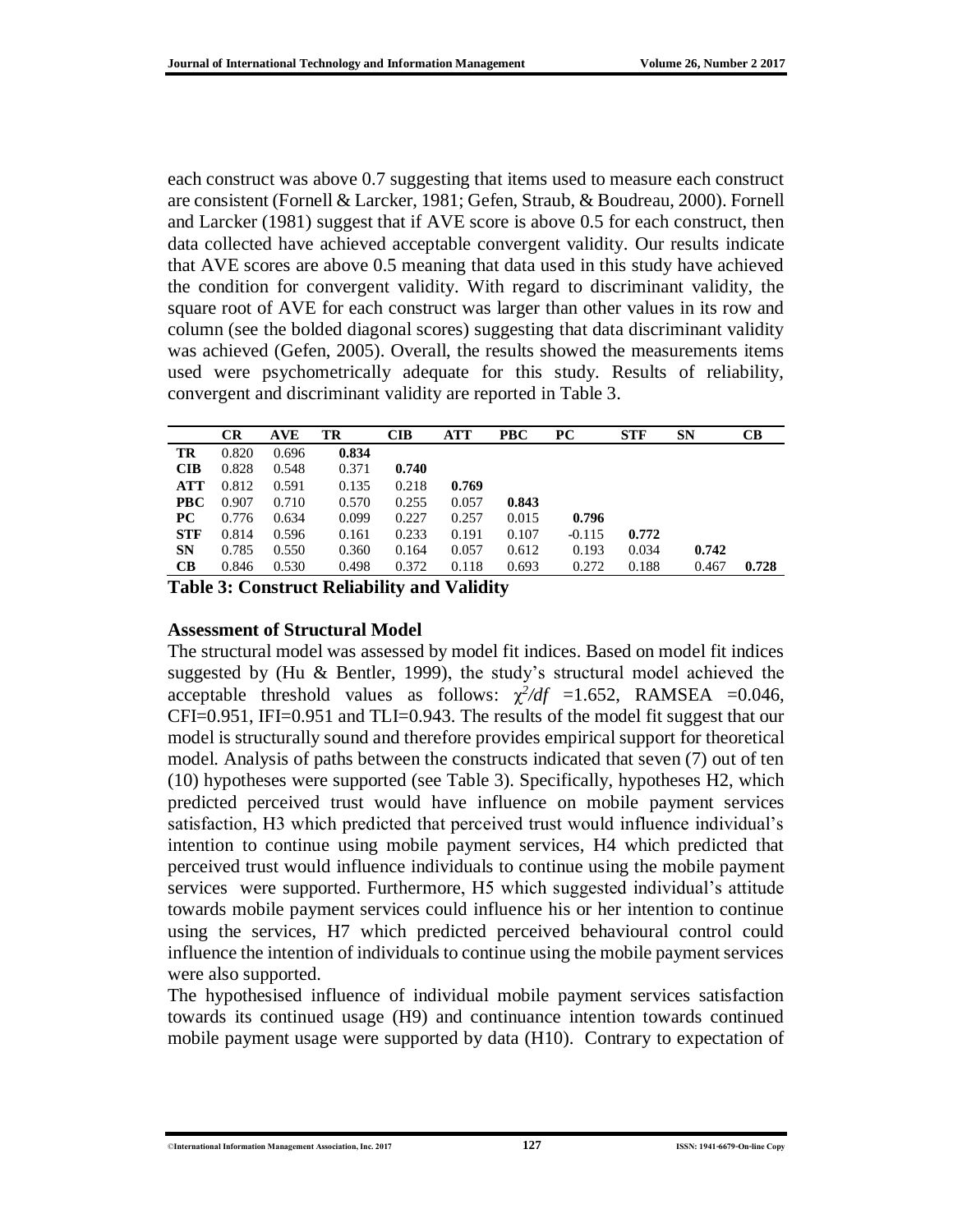each construct was above 0.7 suggesting that items used to measure each construct are consistent (Fornell & Larcker, 1981; Gefen, Straub, & Boudreau, 2000). Fornell and Larcker (1981) suggest that if AVE score is above 0.5 for each construct, then data collected have achieved acceptable convergent validity. Our results indicate that AVE scores are above 0.5 meaning that data used in this study have achieved the condition for convergent validity. With regard to discriminant validity, the square root of AVE for each construct was larger than other values in its row and column (see the bolded diagonal scores) suggesting that data discriminant validity was achieved (Gefen, 2005). Overall, the results showed the measurements items used were psychometrically adequate for this study. Results of reliability, convergent and discriminant validity are reported in Table 3.

|            | <b>CR</b> | <b>AVE</b> | TR    | <b>CIB</b> | <b>ATT</b> | <b>PBC</b> | <b>PC</b> | <b>STF</b> | SN    | CB    |
|------------|-----------|------------|-------|------------|------------|------------|-----------|------------|-------|-------|
| TR         | 0.820     | 0.696      | 0.834 |            |            |            |           |            |       |       |
| <b>CIB</b> | 0.828     | 0.548      | 0.371 | 0.740      |            |            |           |            |       |       |
| <b>ATT</b> | 0.812     | 0.591      | 0.135 | 0.218      | 0.769      |            |           |            |       |       |
| <b>PBC</b> | 0.907     | 0.710      | 0.570 | 0.255      | 0.057      | 0.843      |           |            |       |       |
| PC.        | 0.776     | 0.634      | 0.099 | 0.227      | 0.257      | 0.015      | 0.796     |            |       |       |
| <b>STF</b> | 0.814     | 0.596      | 0.161 | 0.233      | 0.191      | 0.107      | $-0.115$  | 0.772      |       |       |
| <b>SN</b>  | 0.785     | 0.550      | 0.360 | 0.164      | 0.057      | 0.612      | 0.193     | 0.034      | 0.742 |       |
| CB         | 0.846     | 0.530      | 0.498 | 0.372      | 0.118      | 0.693      | 0.272     | 0.188      | 0.467 | 0.728 |

**Table 3: Construct Reliability and Validity**

#### **Assessment of Structural Model**

The structural model was assessed by model fit indices. Based on model fit indices suggested by (Hu & Bentler, 1999), the study's structural model achieved the acceptable threshold values as follows:  $\chi^2/df = 1.652$ , RAMSEA = 0.046, CFI=0.951, IFI=0.951 and TLI=0.943. The results of the model fit suggest that our model is structurally sound and therefore provides empirical support for theoretical model. Analysis of paths between the constructs indicated that seven (7) out of ten (10) hypotheses were supported (see Table 3). Specifically, hypotheses H2, which predicted perceived trust would have influence on mobile payment services satisfaction, H3 which predicted that perceived trust would influence individual's intention to continue using mobile payment services, H4 which predicted that perceived trust would influence individuals to continue using the mobile payment services were supported. Furthermore, H5 which suggested individual's attitude towards mobile payment services could influence his or her intention to continue using the services, H7 which predicted perceived behavioural control could influence the intention of individuals to continue using the mobile payment services were also supported.

The hypothesised influence of individual mobile payment services satisfaction towards its continued usage (H9) and continuance intention towards continued mobile payment usage were supported by data (H10). Contrary to expectation of

<sup>©</sup>**International Information Management Association, Inc. 2017 127 ISSN: 1941-6679-On-line Copy**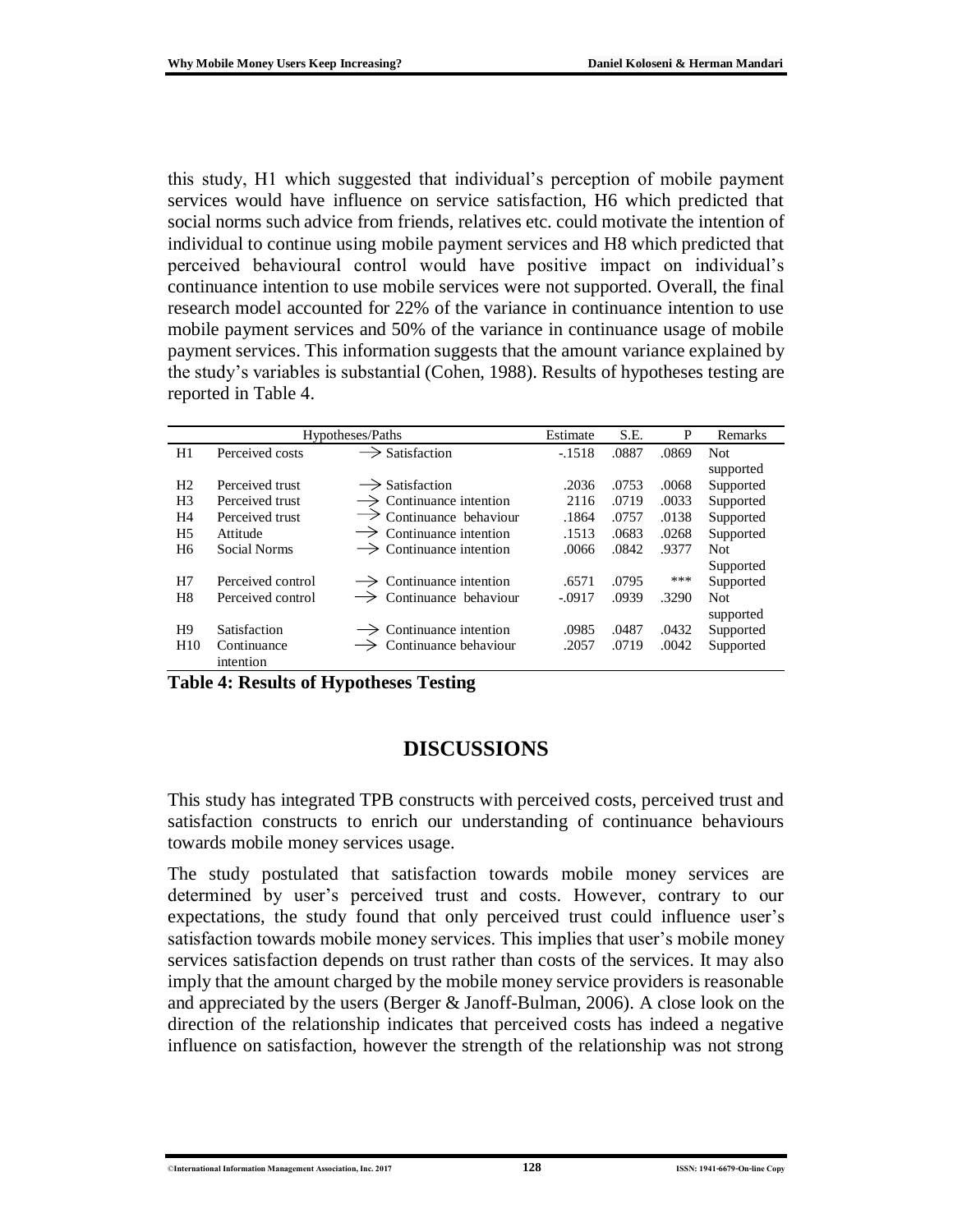this study, H1 which suggested that individual's perception of mobile payment services would have influence on service satisfaction, H6 which predicted that social norms such advice from friends, relatives etc. could motivate the intention of individual to continue using mobile payment services and H8 which predicted that perceived behavioural control would have positive impact on individual's continuance intention to use mobile services were not supported. Overall, the final research model accounted for 22% of the variance in continuance intention to use mobile payment services and 50% of the variance in continuance usage of mobile payment services. This information suggests that the amount variance explained by the study's variables is substantial (Cohen, 1988). Results of hypotheses testing are reported in Table 4.

| Hypotheses/Paths |                   |                                     | Estimate | S.E.  | P     | Remarks    |
|------------------|-------------------|-------------------------------------|----------|-------|-------|------------|
| H1               | Perceived costs   | $\rightarrow$ Satisfaction          | $-1518$  | .0887 | .0869 | <b>Not</b> |
|                  |                   |                                     |          |       |       | supported  |
| H <sub>2</sub>   | Perceived trust   | $\rightarrow$ Satisfaction          | .2036    | .0753 | .0068 | Supported  |
| H <sub>3</sub>   | Perceived trust   | Continuance intention               | 2116     | .0719 | .0033 | Supported  |
| H <sub>4</sub>   | Perceived trust   | $\rightarrow$ Continuance behaviour | .1864    | .0757 | .0138 | Supported  |
| H <sub>5</sub>   | Attitude          | $\rightarrow$ Continuance intention | .1513    | .0683 | .0268 | Supported  |
| H <sub>6</sub>   | Social Norms      | $\rightarrow$ Continuance intention | .0066    | .0842 | .9377 | <b>Not</b> |
|                  |                   |                                     |          |       |       | Supported  |
| H7               | Perceived control | $\rightarrow$ Continuance intention | .6571    | .0795 | ***   | Supported  |
| H <sub>8</sub>   | Perceived control | Continuance behaviour               | $-.0917$ | .0939 | .3290 | <b>Not</b> |
|                  |                   |                                     |          |       |       | supported  |
| H <sub>9</sub>   | Satisfaction      | $\rightarrow$ Continuance intention | .0985    | .0487 | .0432 | Supported  |
| H <sub>10</sub>  | Continuance       | Continuance behaviour               | .2057    | .0719 | .0042 | Supported  |
|                  | intention         |                                     |          |       |       |            |

**Table 4: Results of Hypotheses Testing**

### **DISCUSSIONS**

This study has integrated TPB constructs with perceived costs, perceived trust and satisfaction constructs to enrich our understanding of continuance behaviours towards mobile money services usage.

The study postulated that satisfaction towards mobile money services are determined by user's perceived trust and costs. However, contrary to our expectations, the study found that only perceived trust could influence user's satisfaction towards mobile money services. This implies that user's mobile money services satisfaction depends on trust rather than costs of the services. It may also imply that the amount charged by the mobile money service providers is reasonable and appreciated by the users (Berger & Janoff-Bulman, 2006). A close look on the direction of the relationship indicates that perceived costs has indeed a negative influence on satisfaction, however the strength of the relationship was not strong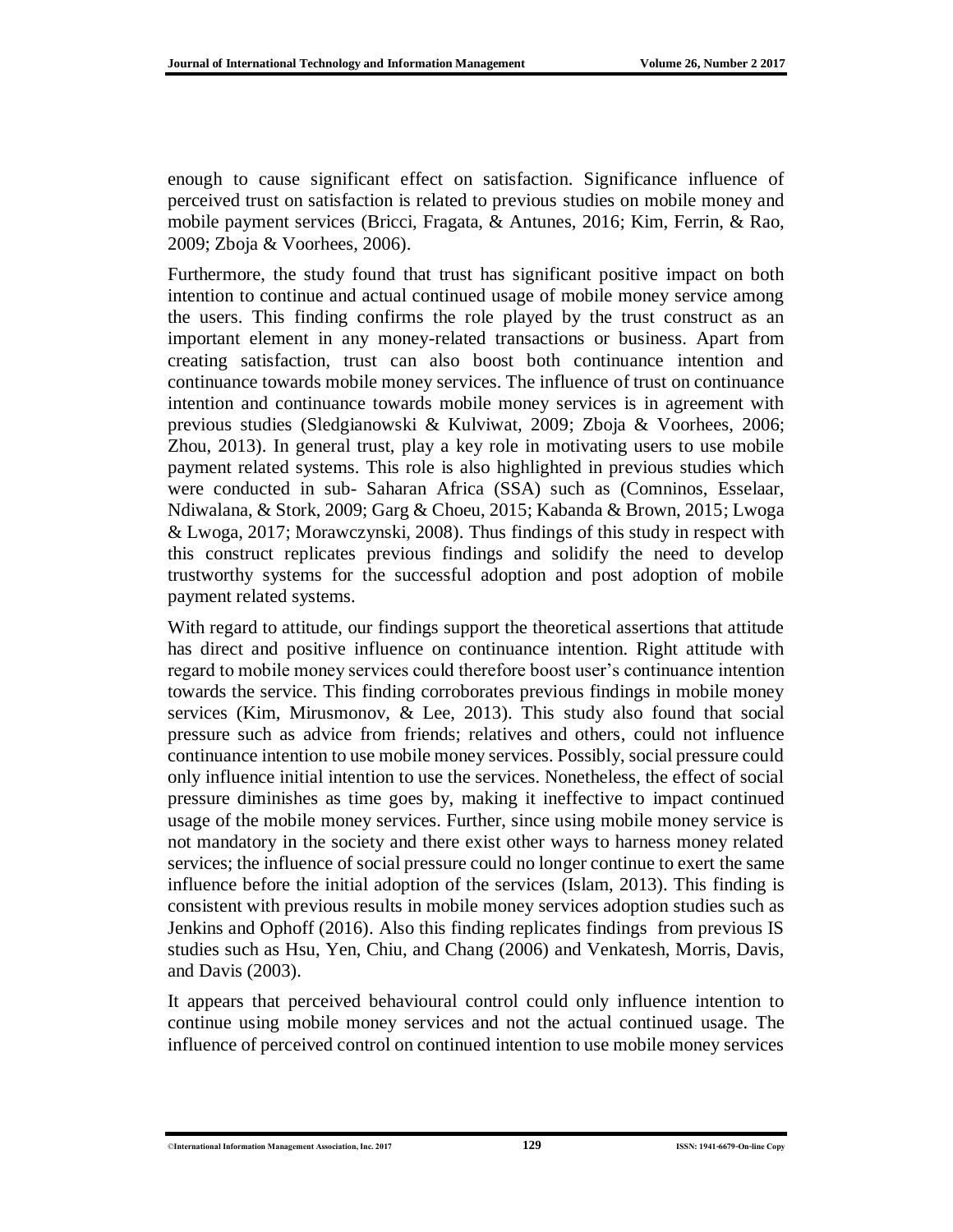enough to cause significant effect on satisfaction. Significance influence of perceived trust on satisfaction is related to previous studies on mobile money and mobile payment services (Bricci, Fragata, & Antunes, 2016; Kim, Ferrin, & Rao, 2009; Zboja & Voorhees, 2006).

Furthermore, the study found that trust has significant positive impact on both intention to continue and actual continued usage of mobile money service among the users. This finding confirms the role played by the trust construct as an important element in any money-related transactions or business. Apart from creating satisfaction, trust can also boost both continuance intention and continuance towards mobile money services. The influence of trust on continuance intention and continuance towards mobile money services is in agreement with previous studies (Sledgianowski & Kulviwat, 2009; Zboja & Voorhees, 2006; Zhou, 2013). In general trust, play a key role in motivating users to use mobile payment related systems. This role is also highlighted in previous studies which were conducted in sub- Saharan Africa (SSA) such as (Comninos, Esselaar, Ndiwalana, & Stork, 2009; Garg & Choeu, 2015; Kabanda & Brown, 2015; Lwoga & Lwoga, 2017; Morawczynski, 2008). Thus findings of this study in respect with this construct replicates previous findings and solidify the need to develop trustworthy systems for the successful adoption and post adoption of mobile payment related systems.

With regard to attitude, our findings support the theoretical assertions that attitude has direct and positive influence on continuance intention. Right attitude with regard to mobile money services could therefore boost user's continuance intention towards the service. This finding corroborates previous findings in mobile money services (Kim, Mirusmonov, & Lee, 2013). This study also found that social pressure such as advice from friends; relatives and others, could not influence continuance intention to use mobile money services. Possibly, social pressure could only influence initial intention to use the services. Nonetheless, the effect of social pressure diminishes as time goes by, making it ineffective to impact continued usage of the mobile money services. Further, since using mobile money service is not mandatory in the society and there exist other ways to harness money related services; the influence of social pressure could no longer continue to exert the same influence before the initial adoption of the services (Islam, 2013). This finding is consistent with previous results in mobile money services adoption studies such as Jenkins and Ophoff (2016). Also this finding replicates findings from previous IS studies such as Hsu, Yen, Chiu, and Chang (2006) and Venkatesh, Morris, Davis, and Davis (2003).

It appears that perceived behavioural control could only influence intention to continue using mobile money services and not the actual continued usage. The influence of perceived control on continued intention to use mobile money services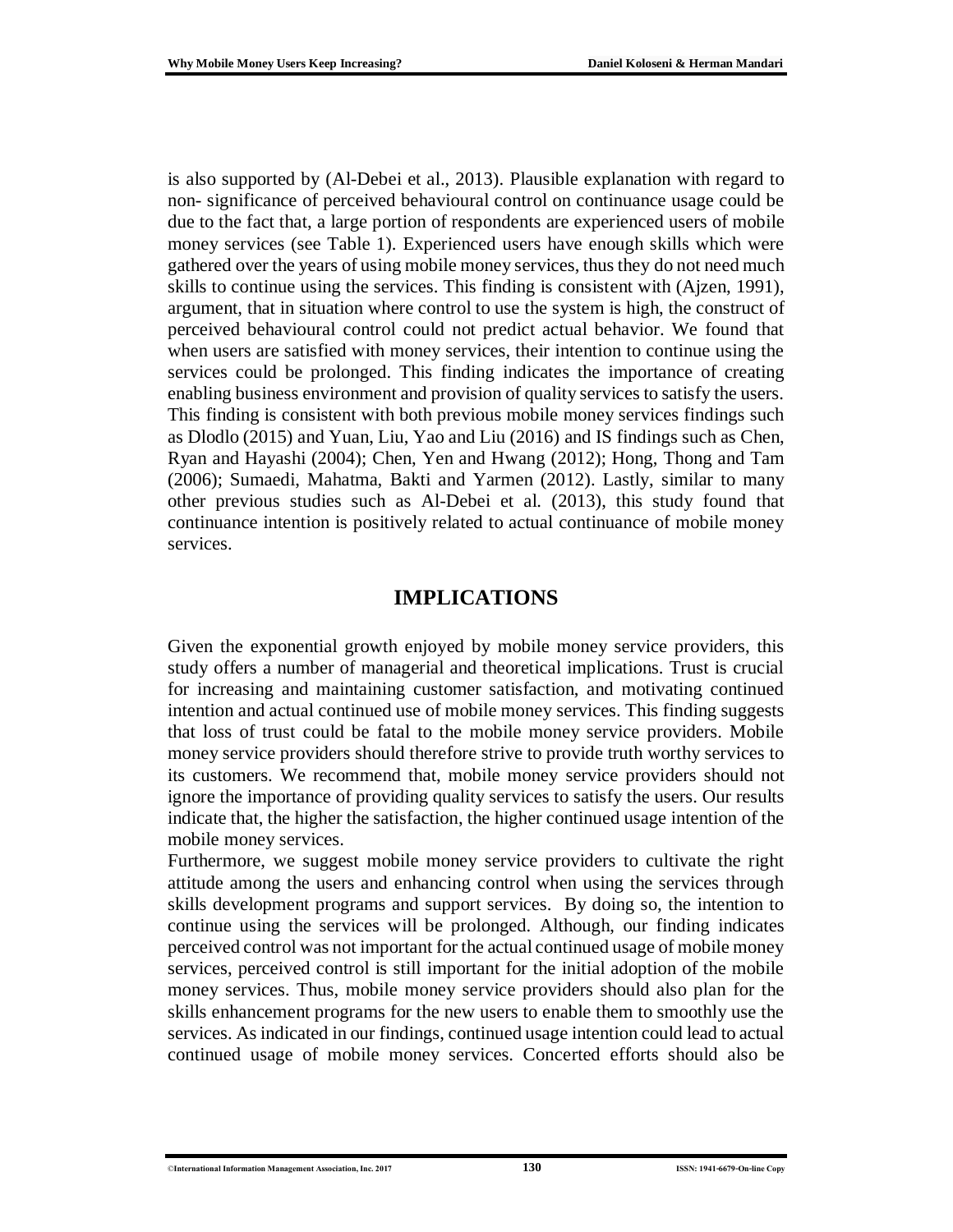is also supported by (Al-Debei et al., 2013). Plausible explanation with regard to non- significance of perceived behavioural control on continuance usage could be due to the fact that, a large portion of respondents are experienced users of mobile money services (see Table 1). Experienced users have enough skills which were gathered over the years of using mobile money services, thus they do not need much skills to continue using the services. This finding is consistent with (Ajzen, 1991), argument, that in situation where control to use the system is high, the construct of perceived behavioural control could not predict actual behavior. We found that when users are satisfied with money services, their intention to continue using the services could be prolonged. This finding indicates the importance of creating enabling business environment and provision of quality services to satisfy the users. This finding is consistent with both previous mobile money services findings such as Dlodlo (2015) and Yuan, Liu, Yao and Liu (2016) and IS findings such as Chen, Ryan and Hayashi (2004); Chen, Yen and Hwang (2012); Hong, Thong and Tam (2006); Sumaedi, Mahatma, Bakti and Yarmen (2012). Lastly, similar to many other previous studies such as Al-Debei et al. (2013), this study found that continuance intention is positively related to actual continuance of mobile money services.

### **IMPLICATIONS**

Given the exponential growth enjoyed by mobile money service providers, this study offers a number of managerial and theoretical implications. Trust is crucial for increasing and maintaining customer satisfaction, and motivating continued intention and actual continued use of mobile money services. This finding suggests that loss of trust could be fatal to the mobile money service providers. Mobile money service providers should therefore strive to provide truth worthy services to its customers. We recommend that, mobile money service providers should not ignore the importance of providing quality services to satisfy the users. Our results indicate that, the higher the satisfaction, the higher continued usage intention of the mobile money services.

Furthermore, we suggest mobile money service providers to cultivate the right attitude among the users and enhancing control when using the services through skills development programs and support services. By doing so, the intention to continue using the services will be prolonged. Although, our finding indicates perceived control was not important for the actual continued usage of mobile money services, perceived control is still important for the initial adoption of the mobile money services. Thus, mobile money service providers should also plan for the skills enhancement programs for the new users to enable them to smoothly use the services. As indicated in our findings, continued usage intention could lead to actual continued usage of mobile money services. Concerted efforts should also be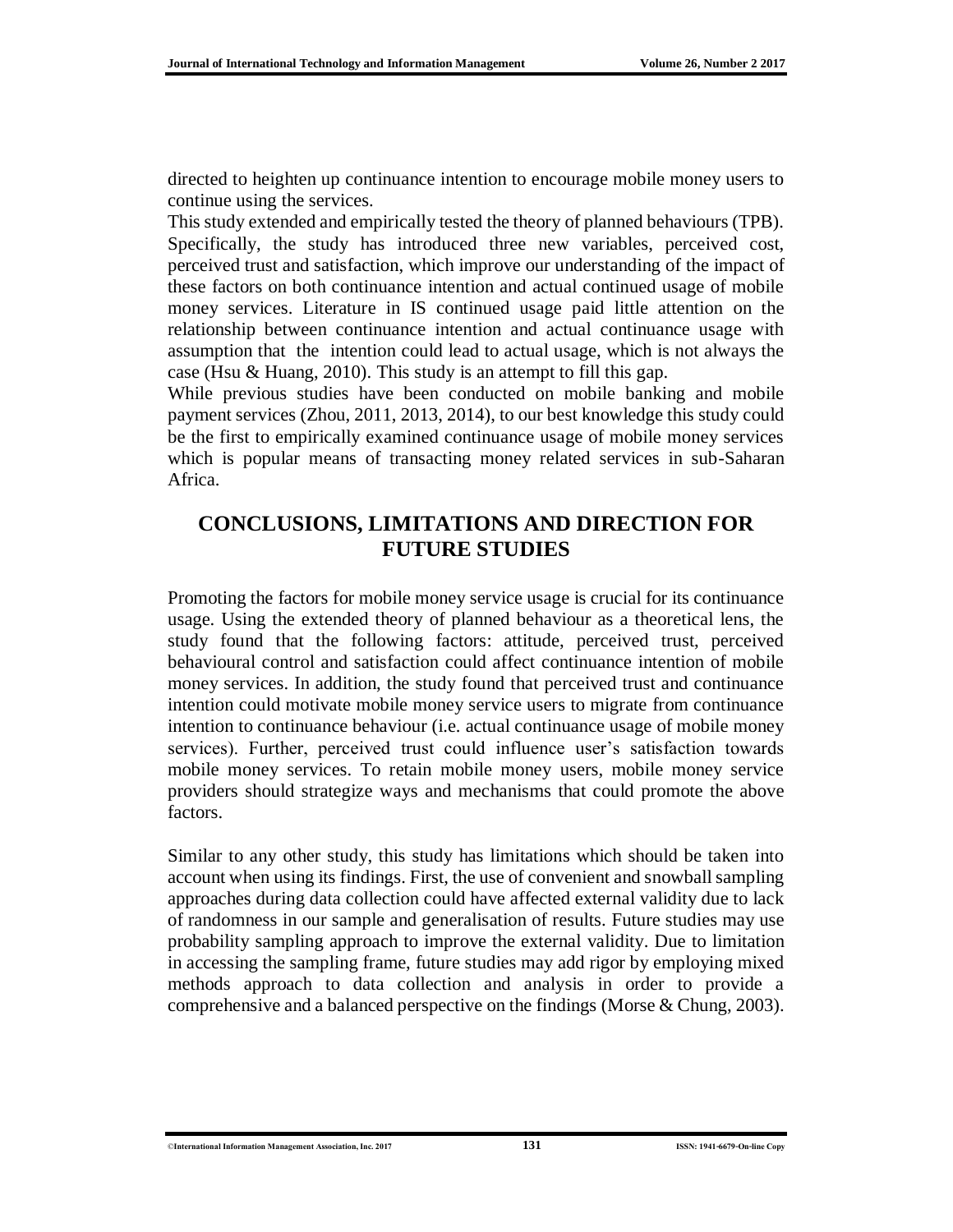directed to heighten up continuance intention to encourage mobile money users to continue using the services.

This study extended and empirically tested the theory of planned behaviours (TPB). Specifically, the study has introduced three new variables, perceived cost, perceived trust and satisfaction, which improve our understanding of the impact of these factors on both continuance intention and actual continued usage of mobile money services. Literature in IS continued usage paid little attention on the relationship between continuance intention and actual continuance usage with assumption that the intention could lead to actual usage, which is not always the case (Hsu & Huang, 2010). This study is an attempt to fill this gap.

While previous studies have been conducted on mobile banking and mobile payment services (Zhou, 2011, 2013, 2014), to our best knowledge this study could be the first to empirically examined continuance usage of mobile money services which is popular means of transacting money related services in sub-Saharan Africa.

### **CONCLUSIONS, LIMITATIONS AND DIRECTION FOR FUTURE STUDIES**

Promoting the factors for mobile money service usage is crucial for its continuance usage. Using the extended theory of planned behaviour as a theoretical lens, the study found that the following factors: attitude, perceived trust, perceived behavioural control and satisfaction could affect continuance intention of mobile money services. In addition, the study found that perceived trust and continuance intention could motivate mobile money service users to migrate from continuance intention to continuance behaviour (i.e. actual continuance usage of mobile money services). Further, perceived trust could influence user's satisfaction towards mobile money services. To retain mobile money users, mobile money service providers should strategize ways and mechanisms that could promote the above factors.

Similar to any other study, this study has limitations which should be taken into account when using its findings. First, the use of convenient and snowball sampling approaches during data collection could have affected external validity due to lack of randomness in our sample and generalisation of results. Future studies may use probability sampling approach to improve the external validity. Due to limitation in accessing the sampling frame, future studies may add rigor by employing mixed methods approach to data collection and analysis in order to provide a comprehensive and a balanced perspective on the findings (Morse & Chung, 2003).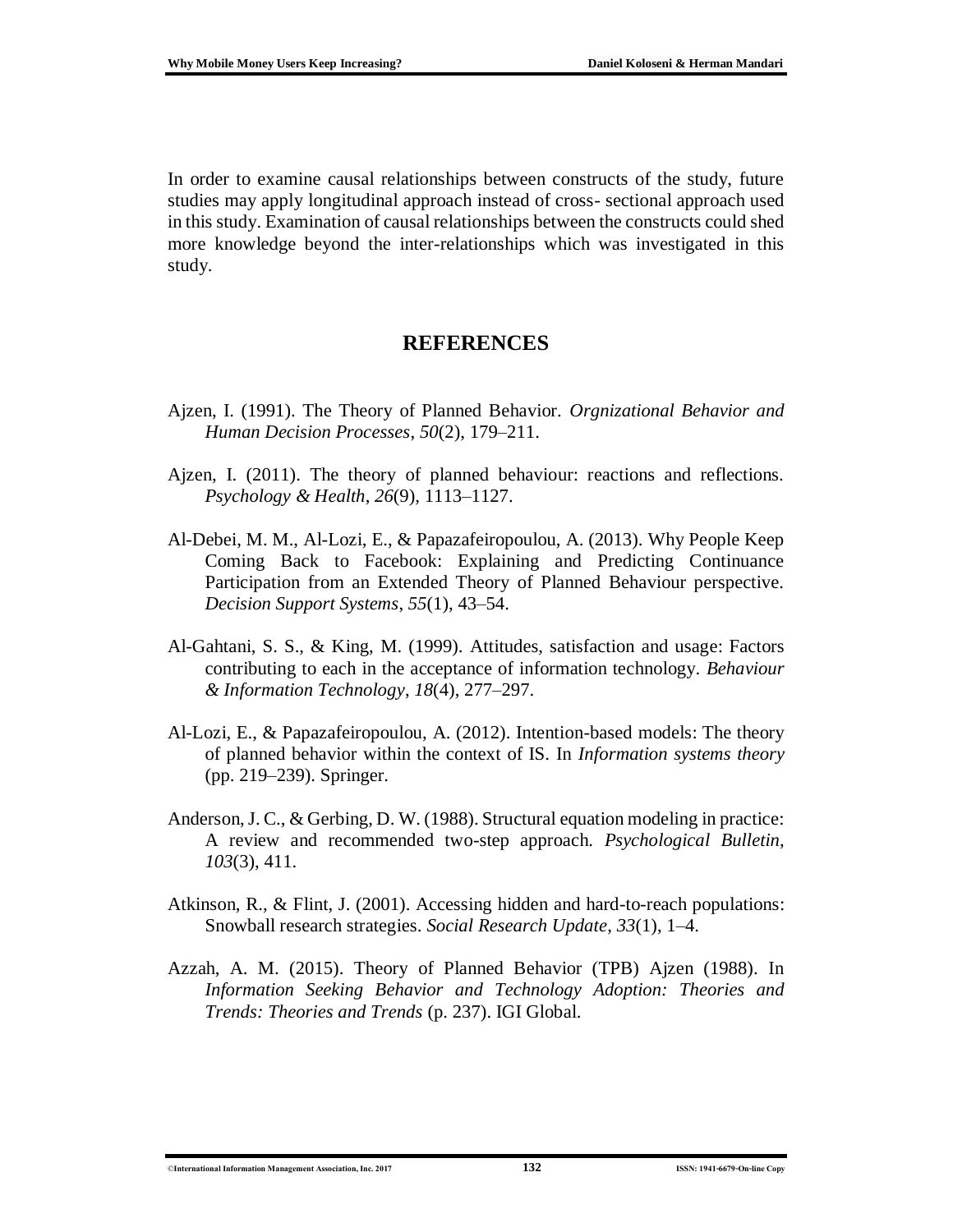In order to examine causal relationships between constructs of the study, future studies may apply longitudinal approach instead of cross- sectional approach used in this study. Examination of causal relationships between the constructs could shed more knowledge beyond the inter-relationships which was investigated in this study.

### **REFERENCES**

- Ajzen, I. (1991). The Theory of Planned Behavior. *Orgnizational Behavior and Human Decision Processes*, *50*(2), 179–211.
- Ajzen, I. (2011). The theory of planned behaviour: reactions and reflections. *Psychology & Health*, *26*(9), 1113–1127.
- Al-Debei, M. M., Al-Lozi, E., & Papazafeiropoulou, A. (2013). Why People Keep Coming Back to Facebook: Explaining and Predicting Continuance Participation from an Extended Theory of Planned Behaviour perspective. *Decision Support Systems*, *55*(1), 43–54.
- Al-Gahtani, S. S., & King, M. (1999). Attitudes, satisfaction and usage: Factors contributing to each in the acceptance of information technology. *Behaviour & Information Technology*, *18*(4), 277–297.
- Al-Lozi, E., & Papazafeiropoulou, A. (2012). Intention-based models: The theory of planned behavior within the context of IS. In *Information systems theory* (pp. 219–239). Springer.
- Anderson, J. C., & Gerbing, D. W. (1988). Structural equation modeling in practice: A review and recommended two-step approach. *Psychological Bulletin*, *103*(3), 411.
- Atkinson, R., & Flint, J. (2001). Accessing hidden and hard-to-reach populations: Snowball research strategies. *Social Research Update*, *33*(1), 1–4.
- Azzah, A. M. (2015). Theory of Planned Behavior (TPB) Ajzen (1988). In *Information Seeking Behavior and Technology Adoption: Theories and Trends: Theories and Trends* (p. 237). IGI Global.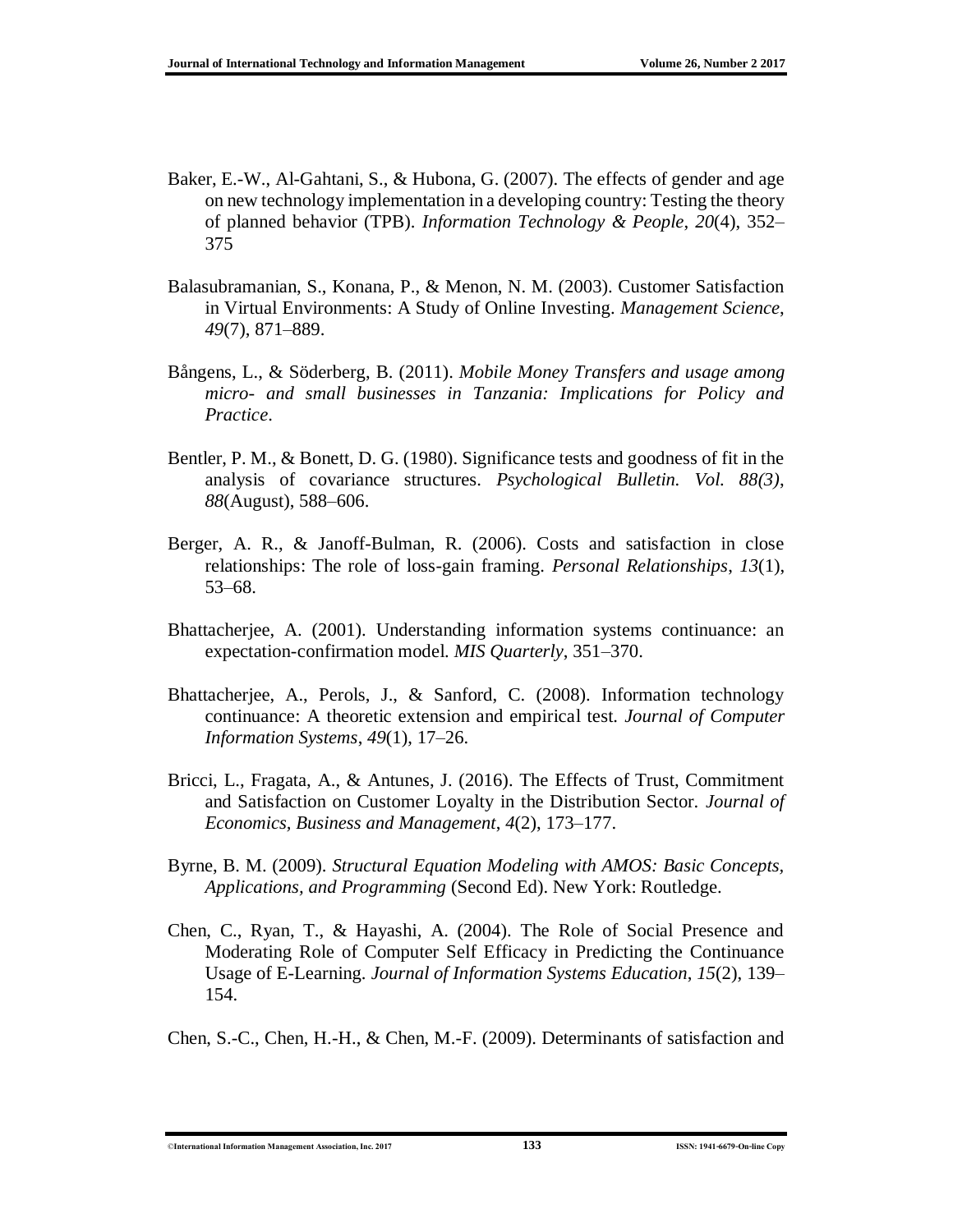- Baker, E.-W., Al-Gahtani, S., & Hubona, G. (2007). The effects of gender and age on new technology implementation in a developing country: Testing the theory of planned behavior (TPB). *Information Technology & People*, *20*(4), 352– 375
- Balasubramanian, S., Konana, P., & Menon, N. M. (2003). Customer Satisfaction in Virtual Environments: A Study of Online Investing. *Management Science*, *49*(7), 871–889.
- Bångens, L., & Söderberg, B. (2011). *Mobile Money Transfers and usage among micro- and small businesses in Tanzania: Implications for Policy and Practice*.
- Bentler, P. M., & Bonett, D. G. (1980). Significance tests and goodness of fit in the analysis of covariance structures. *Psychological Bulletin. Vol. 88(3)*, *88*(August), 588–606.
- Berger, A. R., & Janoff-Bulman, R. (2006). Costs and satisfaction in close relationships: The role of loss-gain framing. *Personal Relationships*, *13*(1), 53–68.
- Bhattacherjee, A. (2001). Understanding information systems continuance: an expectation-confirmation model. *MIS Quarterly*, 351–370.
- Bhattacherjee, A., Perols, J., & Sanford, C. (2008). Information technology continuance: A theoretic extension and empirical test. *Journal of Computer Information Systems*, *49*(1), 17–26.
- Bricci, L., Fragata, A., & Antunes, J. (2016). The Effects of Trust, Commitment and Satisfaction on Customer Loyalty in the Distribution Sector. *Journal of Economics, Business and Management*, *4*(2), 173–177.
- Byrne, B. M. (2009). *Structural Equation Modeling with AMOS: Basic Concepts, Applications, and Programming* (Second Ed). New York: Routledge.
- Chen, C., Ryan, T., & Hayashi, A. (2004). The Role of Social Presence and Moderating Role of Computer Self Efficacy in Predicting the Continuance Usage of E-Learning. *Journal of Information Systems Education*, *15*(2), 139– 154.
- Chen, S.-C., Chen, H.-H., & Chen, M.-F. (2009). Determinants of satisfaction and

<sup>©</sup>**International Information Management Association, Inc. 2017 133 ISSN: 1941-6679-On-line Copy**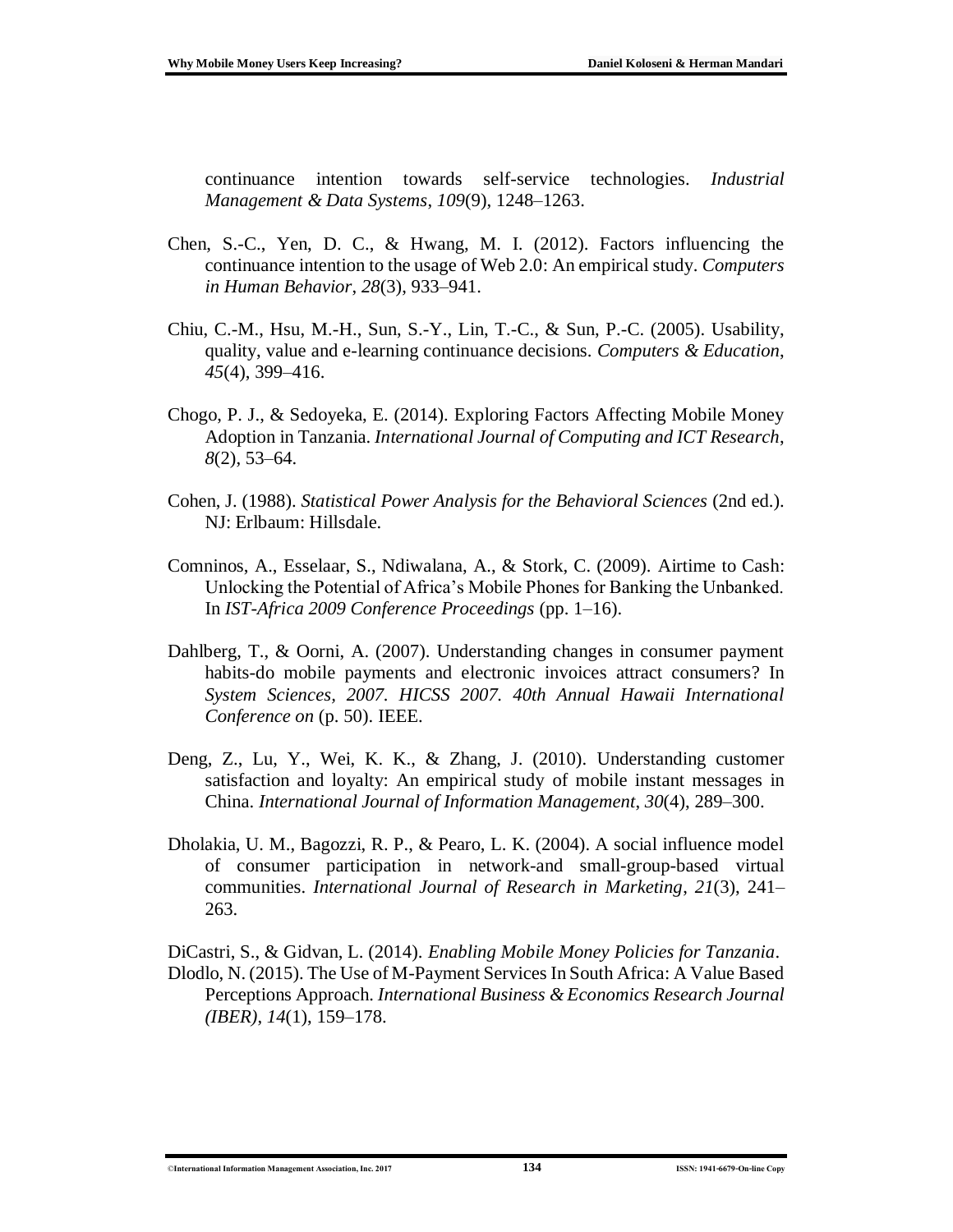continuance intention towards self-service technologies. *Industrial Management & Data Systems*, *109*(9), 1248–1263.

- Chen, S.-C., Yen, D. C., & Hwang, M. I. (2012). Factors influencing the continuance intention to the usage of Web 2.0: An empirical study. *Computers in Human Behavior*, *28*(3), 933–941.
- Chiu, C.-M., Hsu, M.-H., Sun, S.-Y., Lin, T.-C., & Sun, P.-C. (2005). Usability, quality, value and e-learning continuance decisions. *Computers & Education*, *45*(4), 399–416.
- Chogo, P. J., & Sedoyeka, E. (2014). Exploring Factors Affecting Mobile Money Adoption in Tanzania. *International Journal of Computing and ICT Research*, *8*(2), 53–64.
- Cohen, J. (1988). *Statistical Power Analysis for the Behavioral Sciences* (2nd ed.). NJ: Erlbaum: Hillsdale.
- Comninos, A., Esselaar, S., Ndiwalana, A., & Stork, C. (2009). Airtime to Cash: Unlocking the Potential of Africa's Mobile Phones for Banking the Unbanked. In *IST-Africa 2009 Conference Proceedings* (pp. 1–16).
- Dahlberg, T., & Oorni, A. (2007). Understanding changes in consumer payment habits-do mobile payments and electronic invoices attract consumers? In *System Sciences, 2007. HICSS 2007. 40th Annual Hawaii International Conference on* (p. 50). IEEE.
- Deng, Z., Lu, Y., Wei, K. K., & Zhang, J. (2010). Understanding customer satisfaction and loyalty: An empirical study of mobile instant messages in China. *International Journal of Information Management*, *30*(4), 289–300.
- Dholakia, U. M., Bagozzi, R. P., & Pearo, L. K. (2004). A social influence model of consumer participation in network-and small-group-based virtual communities. *International Journal of Research in Marketing*, *21*(3), 241– 263.

DiCastri, S., & Gidvan, L. (2014). *Enabling Mobile Money Policies for Tanzania*. Dlodlo, N. (2015). The Use of M-Payment Services In South Africa: A Value Based Perceptions Approach. *International Business & Economics Research Journal* 

*(IBER)*, *14*(1), 159–178.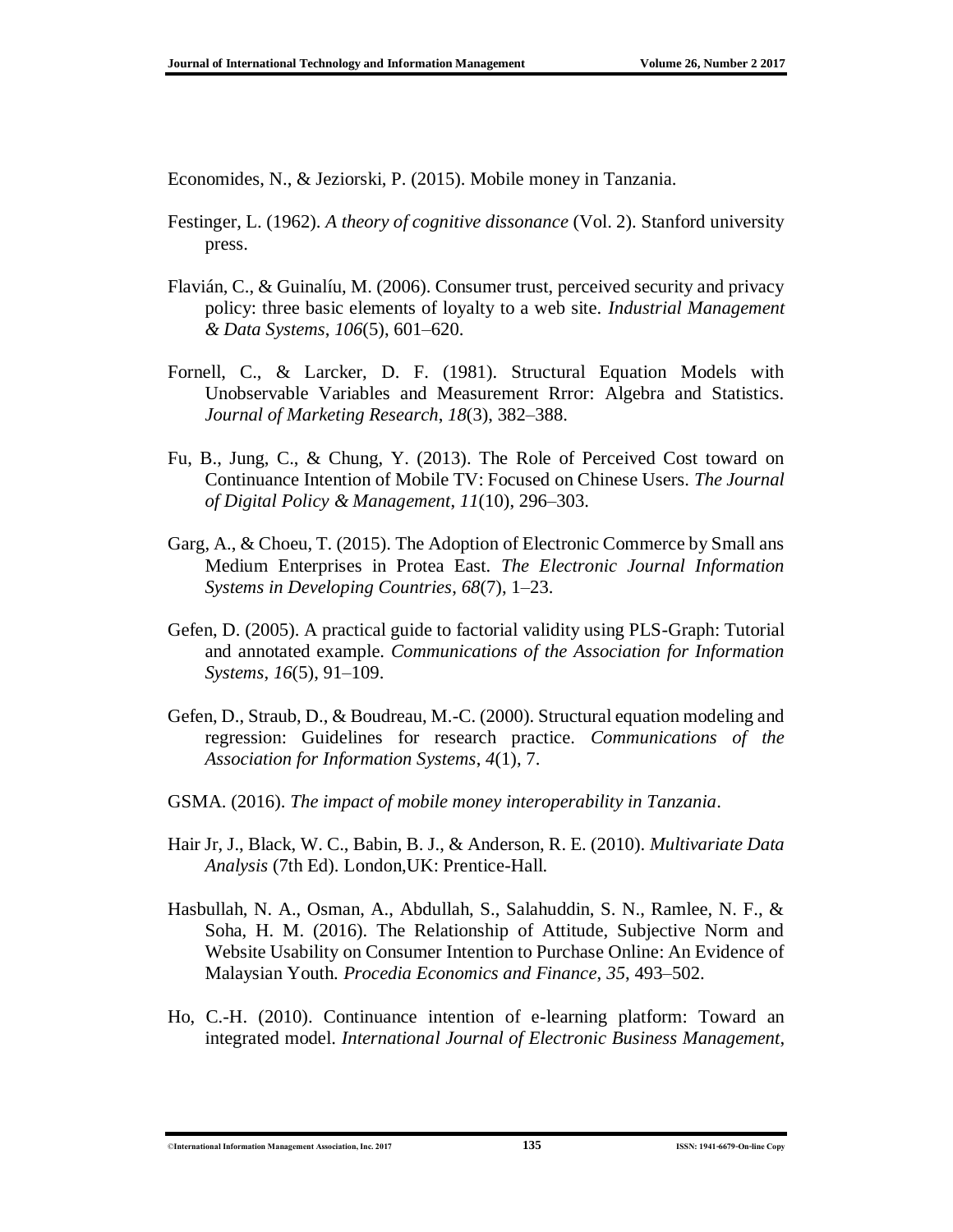Economides, N., & Jeziorski, P. (2015). Mobile money in Tanzania.

- Festinger, L. (1962). *A theory of cognitive dissonance* (Vol. 2). Stanford university press.
- Flavián, C., & Guinalíu, M. (2006). Consumer trust, perceived security and privacy policy: three basic elements of loyalty to a web site. *Industrial Management & Data Systems*, *106*(5), 601–620.
- Fornell, C., & Larcker, D. F. (1981). Structural Equation Models with Unobservable Variables and Measurement Rrror: Algebra and Statistics. *Journal of Marketing Research*, *18*(3), 382–388.
- Fu, B., Jung, C., & Chung, Y. (2013). The Role of Perceived Cost toward on Continuance Intention of Mobile TV: Focused on Chinese Users. *The Journal of Digital Policy & Management*, *11*(10), 296–303.
- Garg, A., & Choeu, T. (2015). The Adoption of Electronic Commerce by Small ans Medium Enterprises in Protea East. *The Electronic Journal Information Systems in Developing Countries*, *68*(7), 1–23.
- Gefen, D. (2005). A practical guide to factorial validity using PLS-Graph: Tutorial and annotated example. *Communications of the Association for Information Systems*, *16*(5), 91–109.
- Gefen, D., Straub, D., & Boudreau, M.-C. (2000). Structural equation modeling and regression: Guidelines for research practice. *Communications of the Association for Information Systems*, *4*(1), 7.
- GSMA. (2016). *The impact of mobile money interoperability in Tanzania*.
- Hair Jr, J., Black, W. C., Babin, B. J., & Anderson, R. E. (2010). *Multivariate Data Analysis* (7th Ed). London,UK: Prentice-Hall.
- Hasbullah, N. A., Osman, A., Abdullah, S., Salahuddin, S. N., Ramlee, N. F., & Soha, H. M. (2016). The Relationship of Attitude, Subjective Norm and Website Usability on Consumer Intention to Purchase Online: An Evidence of Malaysian Youth. *Procedia Economics and Finance*, *35*, 493–502.
- Ho, C.-H. (2010). Continuance intention of e-learning platform: Toward an integrated model. *International Journal of Electronic Business Management*,

<sup>©</sup>**International Information Management Association, Inc. 2017 135 ISSN: 1941-6679-On-line Copy**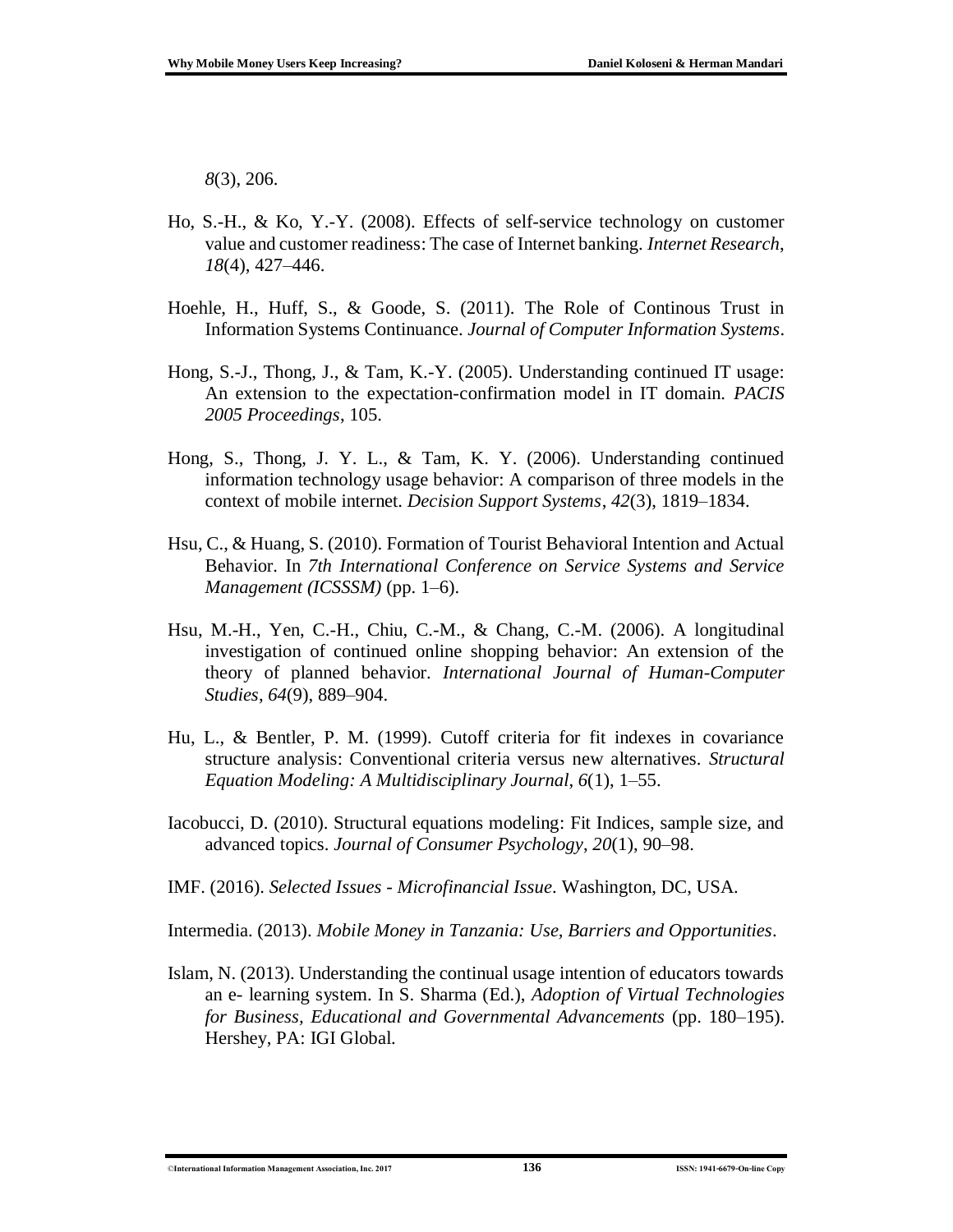*8*(3), 206.

- Ho, S.-H., & Ko, Y.-Y. (2008). Effects of self-service technology on customer value and customer readiness: The case of Internet banking. *Internet Research*, *18*(4), 427–446.
- Hoehle, H., Huff, S., & Goode, S. (2011). The Role of Continous Trust in Information Systems Continuance. *Journal of Computer Information Systems*.
- Hong, S.-J., Thong, J., & Tam, K.-Y. (2005). Understanding continued IT usage: An extension to the expectation-confirmation model in IT domain. *PACIS 2005 Proceedings*, 105.
- Hong, S., Thong, J. Y. L., & Tam, K. Y. (2006). Understanding continued information technology usage behavior: A comparison of three models in the context of mobile internet. *Decision Support Systems*, *42*(3), 1819–1834.
- Hsu, C., & Huang, S. (2010). Formation of Tourist Behavioral Intention and Actual Behavior. In *7th International Conference on Service Systems and Service Management (ICSSSM)* (pp. 1–6).
- Hsu, M.-H., Yen, C.-H., Chiu, C.-M., & Chang, C.-M. (2006). A longitudinal investigation of continued online shopping behavior: An extension of the theory of planned behavior. *International Journal of Human-Computer Studies*, *64*(9), 889–904.
- Hu, L., & Bentler, P. M. (1999). Cutoff criteria for fit indexes in covariance structure analysis: Conventional criteria versus new alternatives. *Structural Equation Modeling: A Multidisciplinary Journal*, *6*(1), 1–55.
- Iacobucci, D. (2010). Structural equations modeling: Fit Indices, sample size, and advanced topics. *Journal of Consumer Psychology*, *20*(1), 90–98.
- IMF. (2016). *Selected Issues - Microfinancial Issue*. Washington, DC, USA.

Intermedia. (2013). *Mobile Money in Tanzania: Use, Barriers and Opportunities*.

Islam, N. (2013). Understanding the continual usage intention of educators towards an e- learning system. In S. Sharma (Ed.), *Adoption of Virtual Technologies for Business, Educational and Governmental Advancements* (pp. 180–195). Hershey, PA: IGI Global.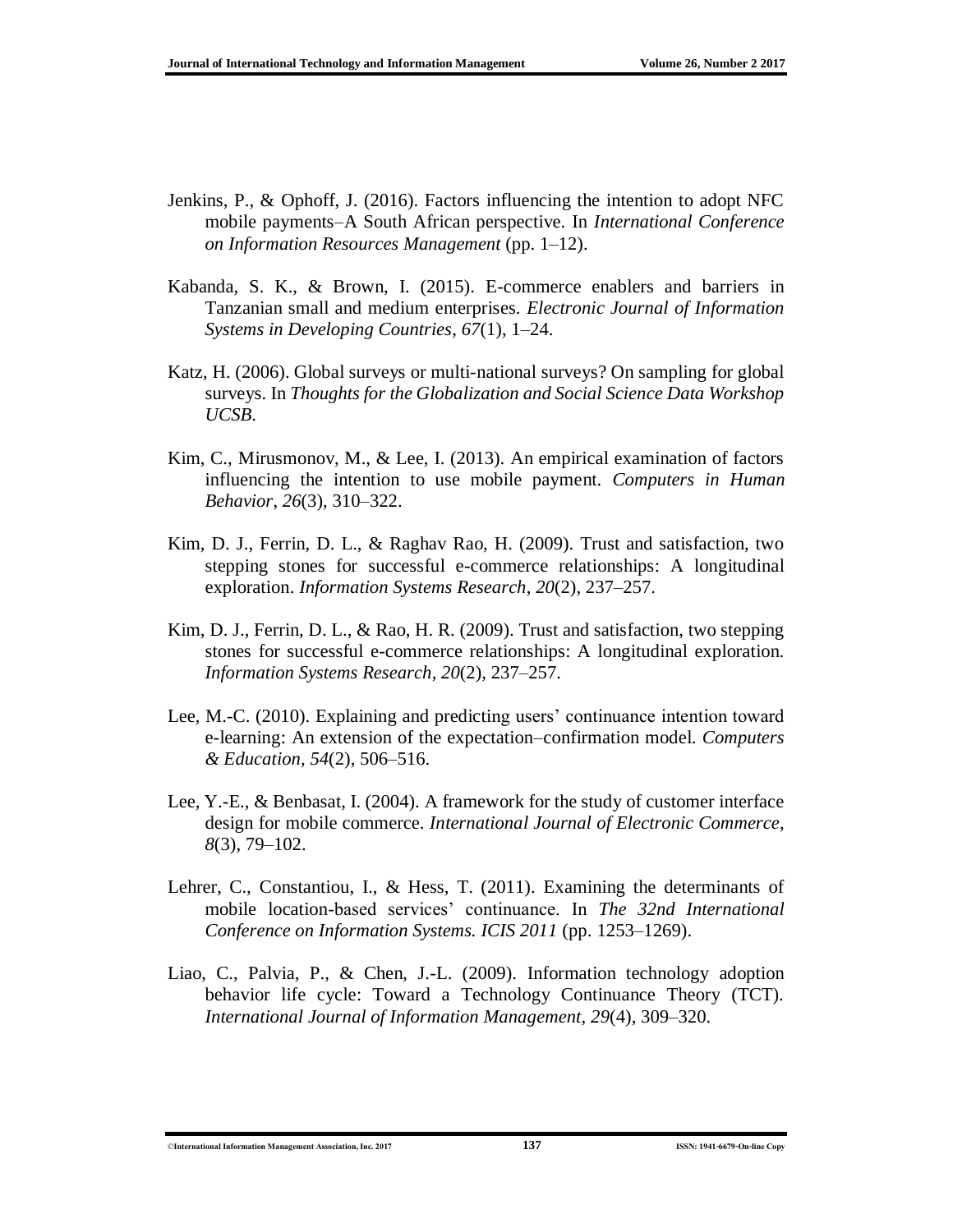- Jenkins, P., & Ophoff, J. (2016). Factors influencing the intention to adopt NFC mobile payments–A South African perspective. In *International Conference on Information Resources Management* (pp. 1–12).
- Kabanda, S. K., & Brown, I. (2015). E-commerce enablers and barriers in Tanzanian small and medium enterprises. *Electronic Journal of Information Systems in Developing Countries*, *67*(1), 1–24.
- Katz, H. (2006). Global surveys or multi-national surveys? On sampling for global surveys. In *Thoughts for the Globalization and Social Science Data Workshop UCSB*.
- Kim, C., Mirusmonov, M., & Lee, I. (2013). An empirical examination of factors influencing the intention to use mobile payment. *Computers in Human Behavior*, *26*(3), 310–322.
- Kim, D. J., Ferrin, D. L., & Raghav Rao, H. (2009). Trust and satisfaction, two stepping stones for successful e-commerce relationships: A longitudinal exploration. *Information Systems Research*, *20*(2), 237–257.
- Kim, D. J., Ferrin, D. L., & Rao, H. R. (2009). Trust and satisfaction, two stepping stones for successful e-commerce relationships: A longitudinal exploration. *Information Systems Research*, *20*(2), 237–257.
- Lee, M.-C. (2010). Explaining and predicting users' continuance intention toward e-learning: An extension of the expectation–confirmation model. *Computers & Education*, *54*(2), 506–516.
- Lee, Y.-E., & Benbasat, I. (2004). A framework for the study of customer interface design for mobile commerce. *International Journal of Electronic Commerce*, *8*(3), 79–102.
- Lehrer, C., Constantiou, I., & Hess, T. (2011). Examining the determinants of mobile location-based services' continuance. In *The 32nd International Conference on Information Systems. ICIS 2011* (pp. 1253–1269).
- Liao, C., Palvia, P., & Chen, J.-L. (2009). Information technology adoption behavior life cycle: Toward a Technology Continuance Theory (TCT). *International Journal of Information Management*, *29*(4), 309–320.

<sup>©</sup>**International Information Management Association, Inc. 2017 137 ISSN: 1941-6679-On-line Copy**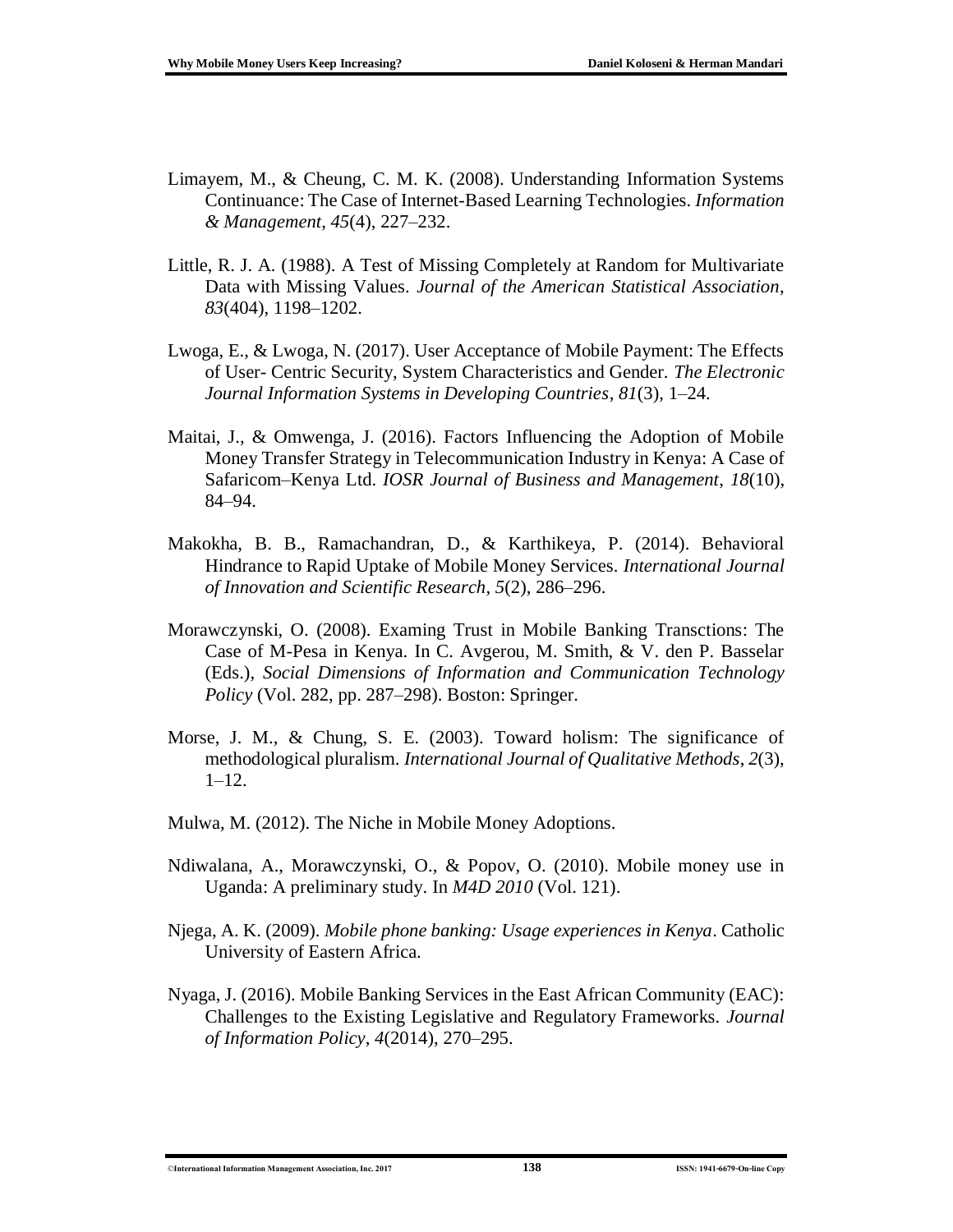- Limayem, M., & Cheung, C. M. K. (2008). Understanding Information Systems Continuance: The Case of Internet-Based Learning Technologies. *Information & Management*, *45*(4), 227–232.
- Little, R. J. A. (1988). A Test of Missing Completely at Random for Multivariate Data with Missing Values. *Journal of the American Statistical Association*, *83*(404), 1198–1202.
- Lwoga, E., & Lwoga, N. (2017). User Acceptance of Mobile Payment: The Effects of User- Centric Security, System Characteristics and Gender. *The Electronic Journal Information Systems in Developing Countries*, *81*(3), 1–24.
- Maitai, J., & Omwenga, J. (2016). Factors Influencing the Adoption of Mobile Money Transfer Strategy in Telecommunication Industry in Kenya: A Case of Safaricom–Kenya Ltd. *IOSR Journal of Business and Management*, *18*(10), 84–94.
- Makokha, B. B., Ramachandran, D., & Karthikeya, P. (2014). Behavioral Hindrance to Rapid Uptake of Mobile Money Services. *International Journal of Innovation and Scientific Research*, *5*(2), 286–296.
- Morawczynski, O. (2008). Examing Trust in Mobile Banking Transctions: The Case of M-Pesa in Kenya. In C. Avgerou, M. Smith, & V. den P. Basselar (Eds.), *Social Dimensions of Information and Communication Technology Policy* (Vol. 282, pp. 287–298). Boston: Springer.
- Morse, J. M., & Chung, S. E. (2003). Toward holism: The significance of methodological pluralism. *International Journal of Qualitative Methods*, *2*(3), 1–12.
- Mulwa, M. (2012). The Niche in Mobile Money Adoptions.
- Ndiwalana, A., Morawczynski, O., & Popov, O. (2010). Mobile money use in Uganda: A preliminary study. In *M4D 2010* (Vol. 121).
- Njega, A. K. (2009). *Mobile phone banking: Usage experiences in Kenya*. Catholic University of Eastern Africa.
- Nyaga, J. (2016). Mobile Banking Services in the East African Community (EAC): Challenges to the Existing Legislative and Regulatory Frameworks. *Journal of Information Policy*, *4*(2014), 270–295.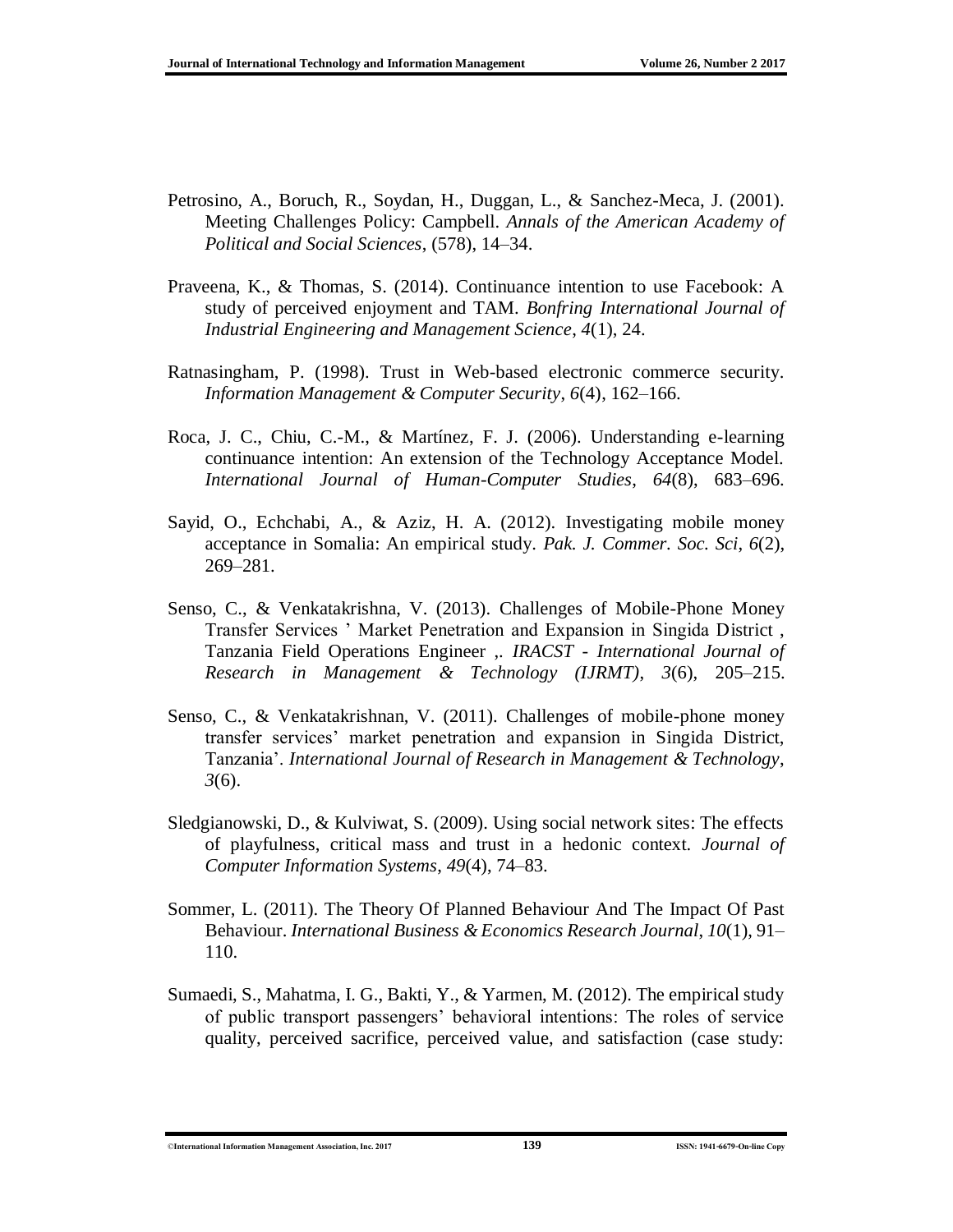- Petrosino, A., Boruch, R., Soydan, H., Duggan, L., & Sanchez-Meca, J. (2001). Meeting Challenges Policy: Campbell. *Annals of the American Academy of Political and Social Sciences*, (578), 14–34.
- Praveena, K., & Thomas, S. (2014). Continuance intention to use Facebook: A study of perceived enjoyment and TAM. *Bonfring International Journal of Industrial Engineering and Management Science*, *4*(1), 24.
- Ratnasingham, P. (1998). Trust in Web-based electronic commerce security. *Information Management & Computer Security*, *6*(4), 162–166.
- Roca, J. C., Chiu, C.-M., & Martínez, F. J. (2006). Understanding e-learning continuance intention: An extension of the Technology Acceptance Model. *International Journal of Human-Computer Studies*, *64*(8), 683–696.
- Sayid, O., Echchabi, A., & Aziz, H. A. (2012). Investigating mobile money acceptance in Somalia: An empirical study. *Pak. J. Commer. Soc. Sci*, *6*(2), 269–281.
- Senso, C., & Venkatakrishna, V. (2013). Challenges of Mobile-Phone Money Transfer Services ' Market Penetration and Expansion in Singida District , Tanzania Field Operations Engineer ,. *IRACST - International Journal of Research in Management & Technology (IJRMT)*, *3*(6), 205–215.
- Senso, C., & Venkatakrishnan, V. (2011). Challenges of mobile-phone money transfer services' market penetration and expansion in Singida District, Tanzania'. *International Journal of Research in Management & Technology*, *3*(6).
- Sledgianowski, D., & Kulviwat, S. (2009). Using social network sites: The effects of playfulness, critical mass and trust in a hedonic context. *Journal of Computer Information Systems*, *49*(4), 74–83.
- Sommer, L. (2011). The Theory Of Planned Behaviour And The Impact Of Past Behaviour. *International Business & Economics Research Journal*, *10*(1), 91– 110.
- Sumaedi, S., Mahatma, I. G., Bakti, Y., & Yarmen, M. (2012). The empirical study of public transport passengers' behavioral intentions: The roles of service quality, perceived sacrifice, perceived value, and satisfaction (case study:

<sup>©</sup>**International Information Management Association, Inc. 2017 139 ISSN: 1941-6679-On-line Copy**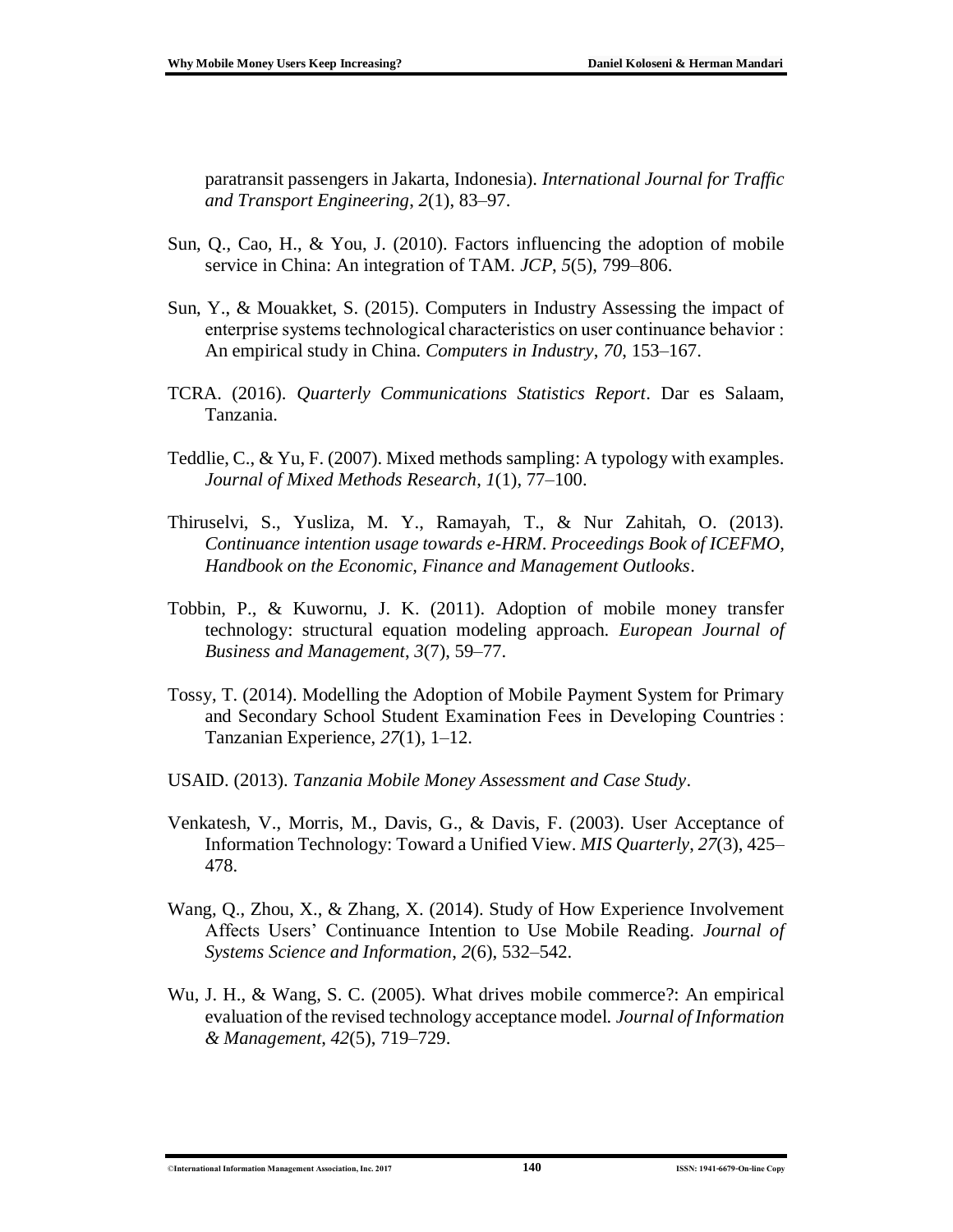paratransit passengers in Jakarta, Indonesia). *International Journal for Traffic and Transport Engineering*, *2*(1), 83–97.

- Sun, Q., Cao, H., & You, J. (2010). Factors influencing the adoption of mobile service in China: An integration of TAM. *JCP*, *5*(5), 799–806.
- Sun, Y., & Mouakket, S. (2015). Computers in Industry Assessing the impact of enterprise systems technological characteristics on user continuance behavior : An empirical study in China. *Computers in Industry*, *70*, 153–167.
- TCRA. (2016). *Quarterly Communications Statistics Report*. Dar es Salaam, Tanzania.
- Teddlie, C., & Yu, F. (2007). Mixed methods sampling: A typology with examples. *Journal of Mixed Methods Research*, *1*(1), 77–100.
- Thiruselvi, S., Yusliza, M. Y., Ramayah, T., & Nur Zahitah, O. (2013). *Continuance intention usage towards e-HRM*. *Proceedings Book of ICEFMO, Handbook on the Economic, Finance and Management Outlooks*.
- Tobbin, P., & Kuwornu, J. K. (2011). Adoption of mobile money transfer technology: structural equation modeling approach. *European Journal of Business and Management*, *3*(7), 59–77.
- Tossy, T. (2014). Modelling the Adoption of Mobile Payment System for Primary and Secondary School Student Examination Fees in Developing Countries : Tanzanian Experience, *27*(1), 1–12.
- USAID. (2013). *Tanzania Mobile Money Assessment and Case Study*.
- Venkatesh, V., Morris, M., Davis, G., & Davis, F. (2003). User Acceptance of Information Technology: Toward a Unified View. *MIS Quarterly*, *27*(3), 425– 478.
- Wang, Q., Zhou, X., & Zhang, X. (2014). Study of How Experience Involvement Affects Users' Continuance Intention to Use Mobile Reading. *Journal of Systems Science and Information*, *2*(6), 532–542.
- Wu, J. H., & Wang, S. C. (2005). What drives mobile commerce?: An empirical evaluation of the revised technology acceptance model. *Journal of Information & Management*, *42*(5), 719–729.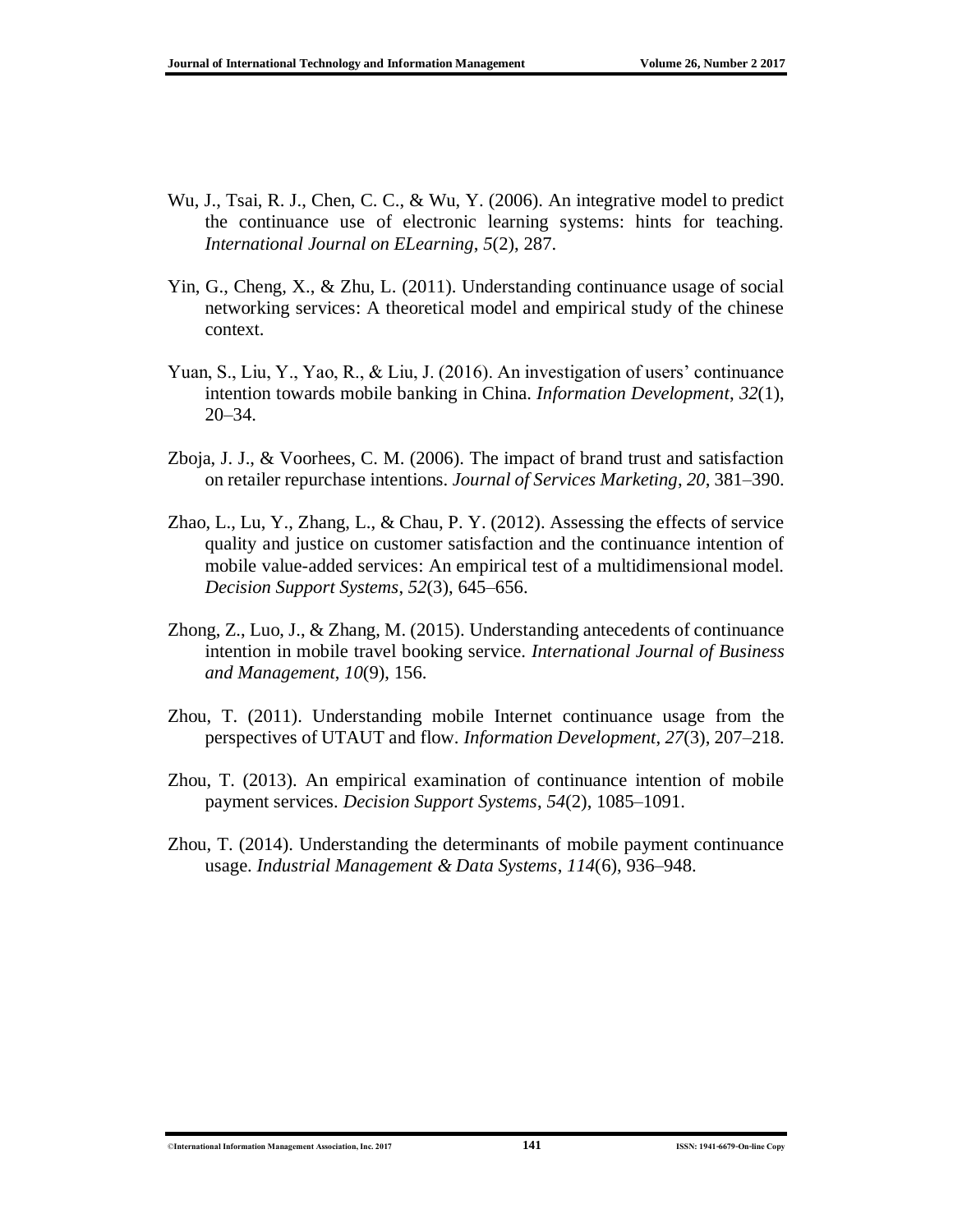- Wu, J., Tsai, R. J., Chen, C. C., & Wu, Y. (2006). An integrative model to predict the continuance use of electronic learning systems: hints for teaching. *International Journal on ELearning*, *5*(2), 287.
- Yin, G., Cheng, X., & Zhu, L. (2011). Understanding continuance usage of social networking services: A theoretical model and empirical study of the chinese context.
- Yuan, S., Liu, Y., Yao, R., & Liu, J. (2016). An investigation of users' continuance intention towards mobile banking in China. *Information Development*, *32*(1), 20–34.
- Zboja, J. J., & Voorhees, C. M. (2006). The impact of brand trust and satisfaction on retailer repurchase intentions. *Journal of Services Marketing*, *20*, 381–390.
- Zhao, L., Lu, Y., Zhang, L., & Chau, P. Y. (2012). Assessing the effects of service quality and justice on customer satisfaction and the continuance intention of mobile value-added services: An empirical test of a multidimensional model. *Decision Support Systems*, *52*(3), 645–656.
- Zhong, Z., Luo, J., & Zhang, M. (2015). Understanding antecedents of continuance intention in mobile travel booking service. *International Journal of Business and Management*, *10*(9), 156.
- Zhou, T. (2011). Understanding mobile Internet continuance usage from the perspectives of UTAUT and flow. *Information Development*, *27*(3), 207–218.
- Zhou, T. (2013). An empirical examination of continuance intention of mobile payment services. *Decision Support Systems*, *54*(2), 1085–1091.
- Zhou, T. (2014). Understanding the determinants of mobile payment continuance usage. *Industrial Management & Data Systems*, *114*(6), 936–948.

©**International Information Management Association, Inc. 2017 141 ISSN: 1941-6679-On-line Copy**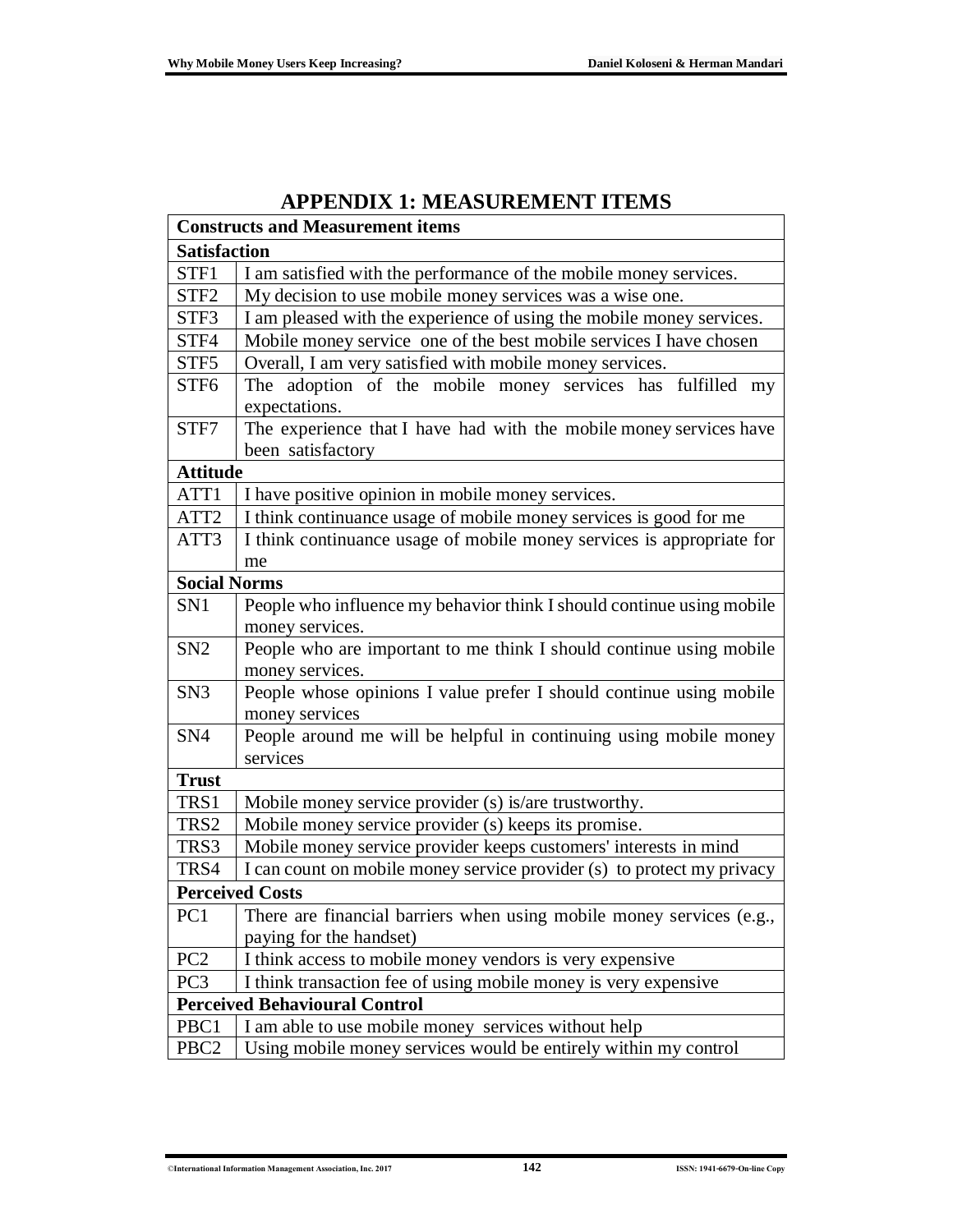| <b>Constructs and Measurement items</b> |                                                                                         |  |  |  |
|-----------------------------------------|-----------------------------------------------------------------------------------------|--|--|--|
| <b>Satisfaction</b>                     |                                                                                         |  |  |  |
| STF1                                    | I am satisfied with the performance of the mobile money services.                       |  |  |  |
| STF <sub>2</sub>                        | My decision to use mobile money services was a wise one.                                |  |  |  |
| STF3                                    | I am pleased with the experience of using the mobile money services.                    |  |  |  |
| STF4                                    | Mobile money service one of the best mobile services I have chosen                      |  |  |  |
| STF <sub>5</sub>                        | Overall, I am very satisfied with mobile money services.                                |  |  |  |
| STF <sub>6</sub>                        | The adoption of the mobile money services has fulfilled my                              |  |  |  |
|                                         | expectations.                                                                           |  |  |  |
| STF7                                    | The experience that I have had with the mobile money services have<br>been satisfactory |  |  |  |
| <b>Attitude</b>                         |                                                                                         |  |  |  |
| ATT1                                    | I have positive opinion in mobile money services.                                       |  |  |  |
| ATT2                                    | I think continuance usage of mobile money services is good for me                       |  |  |  |
| ATT3                                    | I think continuance usage of mobile money services is appropriate for                   |  |  |  |
|                                         | me                                                                                      |  |  |  |
| <b>Social Norms</b>                     |                                                                                         |  |  |  |
| SN1                                     | People who influence my behavior think I should continue using mobile                   |  |  |  |
|                                         | money services.                                                                         |  |  |  |
| SN <sub>2</sub>                         | People who are important to me think I should continue using mobile                     |  |  |  |
|                                         | money services.                                                                         |  |  |  |
| SN <sub>3</sub>                         | People whose opinions I value prefer I should continue using mobile                     |  |  |  |
|                                         | money services                                                                          |  |  |  |
| SN <sub>4</sub>                         | People around me will be helpful in continuing using mobile money                       |  |  |  |
|                                         | services                                                                                |  |  |  |
| <b>Trust</b>                            |                                                                                         |  |  |  |
| TRS1                                    | Mobile money service provider (s) is/are trustworthy.                                   |  |  |  |
| TRS2                                    | Mobile money service provider (s) keeps its promise.                                    |  |  |  |
| TRS3                                    | Mobile money service provider keeps customers' interests in mind                        |  |  |  |
| TRS4                                    | I can count on mobile money service provider (s) to protect my privacy                  |  |  |  |
|                                         | <b>Perceived Costs</b>                                                                  |  |  |  |
| PC <sub>1</sub>                         | There are financial barriers when using mobile money services (e.g.,                    |  |  |  |
|                                         | paying for the handset)                                                                 |  |  |  |
| PC <sub>2</sub>                         | I think access to mobile money vendors is very expensive                                |  |  |  |
| PC <sub>3</sub>                         | I think transaction fee of using mobile money is very expensive                         |  |  |  |
|                                         | <b>Perceived Behavioural Control</b>                                                    |  |  |  |
| PBC1                                    | I am able to use mobile money services without help                                     |  |  |  |
| PBC <sub>2</sub>                        | Using mobile money services would be entirely within my control                         |  |  |  |

### **APPENDIX 1: MEASUREMENT ITEMS**